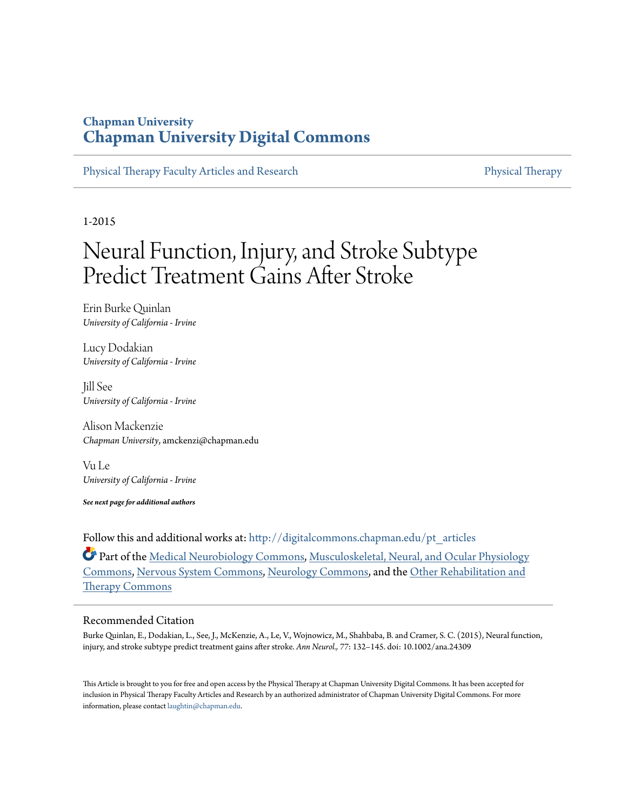# **Chapman University [Chapman University Digital Commons](http://digitalcommons.chapman.edu?utm_source=digitalcommons.chapman.edu%2Fpt_articles%2F47&utm_medium=PDF&utm_campaign=PDFCoverPages)**

[Physical Therapy Faculty Articles and Research](http://digitalcommons.chapman.edu/pt_articles?utm_source=digitalcommons.chapman.edu%2Fpt_articles%2F47&utm_medium=PDF&utm_campaign=PDFCoverPages) [Physical Therapy](http://digitalcommons.chapman.edu/physicaltherapy?utm_source=digitalcommons.chapman.edu%2Fpt_articles%2F47&utm_medium=PDF&utm_campaign=PDFCoverPages)

1-2015

# Neural Function, Injury, and Stroke Subtype Predict Treatment Gains After Stroke

Erin Burke Quinlan *University of California - Irvine*

Lucy Dodakian *University of California - Irvine*

Jill See *University of California - Irvine*

Alison Mackenzie *Chapman University*, amckenzi@chapman.edu

Vu Le *University of California - Irvine*

*See next page for additional authors*

Follow this and additional works at: [http://digitalcommons.chapman.edu/pt\\_articles](http://digitalcommons.chapman.edu/pt_articles?utm_source=digitalcommons.chapman.edu%2Fpt_articles%2F47&utm_medium=PDF&utm_campaign=PDFCoverPages)

Part of the [Medical Neurobiology Commons](http://network.bepress.com/hgg/discipline/674?utm_source=digitalcommons.chapman.edu%2Fpt_articles%2F47&utm_medium=PDF&utm_campaign=PDFCoverPages), [Musculoskeletal, Neural, and Ocular Physiology](http://network.bepress.com/hgg/discipline/964?utm_source=digitalcommons.chapman.edu%2Fpt_articles%2F47&utm_medium=PDF&utm_campaign=PDFCoverPages) [Commons,](http://network.bepress.com/hgg/discipline/964?utm_source=digitalcommons.chapman.edu%2Fpt_articles%2F47&utm_medium=PDF&utm_campaign=PDFCoverPages) [Nervous System Commons,](http://network.bepress.com/hgg/discipline/949?utm_source=digitalcommons.chapman.edu%2Fpt_articles%2F47&utm_medium=PDF&utm_campaign=PDFCoverPages) [Neurology Commons,](http://network.bepress.com/hgg/discipline/692?utm_source=digitalcommons.chapman.edu%2Fpt_articles%2F47&utm_medium=PDF&utm_campaign=PDFCoverPages) and the [Other Rehabilitation and](http://network.bepress.com/hgg/discipline/758?utm_source=digitalcommons.chapman.edu%2Fpt_articles%2F47&utm_medium=PDF&utm_campaign=PDFCoverPages) [Therapy Commons](http://network.bepress.com/hgg/discipline/758?utm_source=digitalcommons.chapman.edu%2Fpt_articles%2F47&utm_medium=PDF&utm_campaign=PDFCoverPages)

## Recommended Citation

Burke Quinlan, E., Dodakian, L., See, J., McKenzie, A., Le, V., Wojnowicz, M., Shahbaba, B. and Cramer, S. C. (2015), Neural function, injury, and stroke subtype predict treatment gains after stroke. *Ann Neurol., 77*: 132–145. doi: 10.1002/ana.24309

This Article is brought to you for free and open access by the Physical Therapy at Chapman University Digital Commons. It has been accepted for inclusion in Physical Therapy Faculty Articles and Research by an authorized administrator of Chapman University Digital Commons. For more information, please contact [laughtin@chapman.edu](mailto:laughtin@chapman.edu).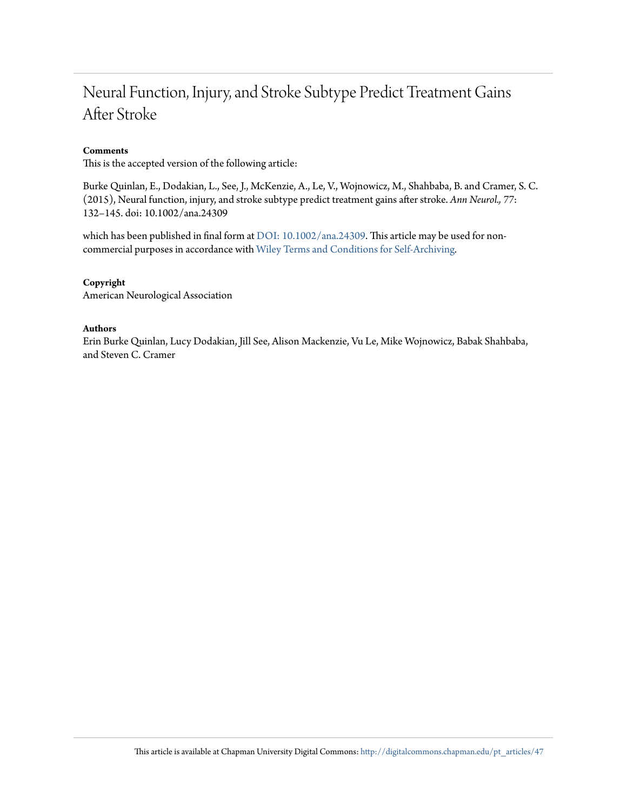# Neural Function, Injury, and Stroke Subtype Predict Treatment Gains After Stroke

# **Comments**

This is the accepted version of the following article:

Burke Quinlan, E., Dodakian, L., See, J., McKenzie, A., Le, V., Wojnowicz, M., Shahbaba, B. and Cramer, S. C. (2015), Neural function, injury, and stroke subtype predict treatment gains after stroke. *Ann Neurol., 77*: 132–145. doi: 10.1002/ana.24309

which has been published in final form at [DOI: 10.1002/ana.24309.](http://dx.doi.org/10.1002/ana.24309) This article may be used for noncommercial purposes in accordance with [Wiley Terms and Conditions for Self-Archiving](http://olabout.wiley.com/WileyCDA/Section/id-820227.html#terms)*.*

# **Copyright**

American Neurological Association

#### **Authors**

Erin Burke Quinlan, Lucy Dodakian, Jill See, Alison Mackenzie, Vu Le, Mike Wojnowicz, Babak Shahbaba, and Steven C. Cramer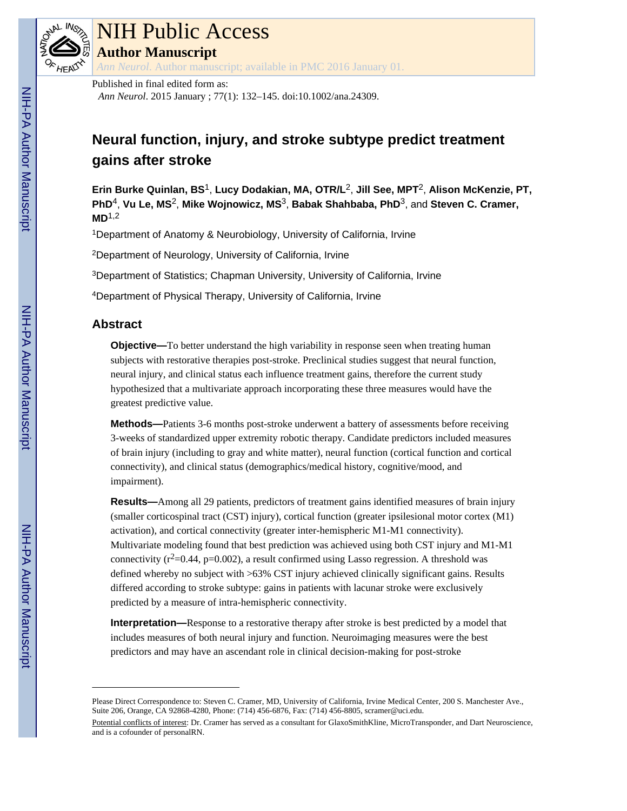

# NIH Public Access

**Author Manuscript**

*Ann Neurol*. Author manuscript; available in PMC 2016 January 01.

# Published in final edited form as:

*Ann Neurol*. 2015 January ; 77(1): 132–145. doi:10.1002/ana.24309.

# **Neural function, injury, and stroke subtype predict treatment gains after stroke**

**Erin Burke Quinlan, BS**1, **Lucy Dodakian, MA, OTR/L**2, **Jill See, MPT**2, **Alison McKenzie, PT, PhD**4, **Vu Le, MS**2, **Mike Wojnowicz, MS**3, **Babak Shahbaba, PhD**3, and **Steven C. Cramer, MD**1,2

<sup>1</sup>Department of Anatomy & Neurobiology, University of California, Irvine

<sup>2</sup>Department of Neurology, University of California, Irvine

<sup>3</sup>Department of Statistics; Chapman University, University of California, Irvine

<sup>4</sup>Department of Physical Therapy, University of California, Irvine

# **Abstract**

**Objective—**To better understand the high variability in response seen when treating human subjects with restorative therapies post-stroke. Preclinical studies suggest that neural function, neural injury, and clinical status each influence treatment gains, therefore the current study hypothesized that a multivariate approach incorporating these three measures would have the greatest predictive value.

**Methods—**Patients 3-6 months post-stroke underwent a battery of assessments before receiving 3-weeks of standardized upper extremity robotic therapy. Candidate predictors included measures of brain injury (including to gray and white matter), neural function (cortical function and cortical connectivity), and clinical status (demographics/medical history, cognitive/mood, and impairment).

**Results—**Among all 29 patients, predictors of treatment gains identified measures of brain injury (smaller corticospinal tract (CST) injury), cortical function (greater ipsilesional motor cortex (M1) activation), and cortical connectivity (greater inter-hemispheric M1-M1 connectivity). Multivariate modeling found that best prediction was achieved using both CST injury and M1-M1 connectivity  $(r^2=0.44, p=0.002)$ , a result confirmed using Lasso regression. A threshold was defined whereby no subject with >63% CST injury achieved clinically significant gains. Results differed according to stroke subtype: gains in patients with lacunar stroke were exclusively predicted by a measure of intra-hemispheric connectivity.

**Interpretation—**Response to a restorative therapy after stroke is best predicted by a model that includes measures of both neural injury and function. Neuroimaging measures were the best predictors and may have an ascendant role in clinical decision-making for post-stroke

Please Direct Correspondence to: Steven C. Cramer, MD, University of California, Irvine Medical Center, 200 S. Manchester Ave., Suite 206, Orange, CA 92868-4280, Phone: (714) 456-6876, Fax: (714) 456-8805, scramer@uci.edu.

Potential conflicts of interest: Dr. Cramer has served as a consultant for GlaxoSmithKline, MicroTransponder, and Dart Neuroscience, and is a cofounder of personalRN.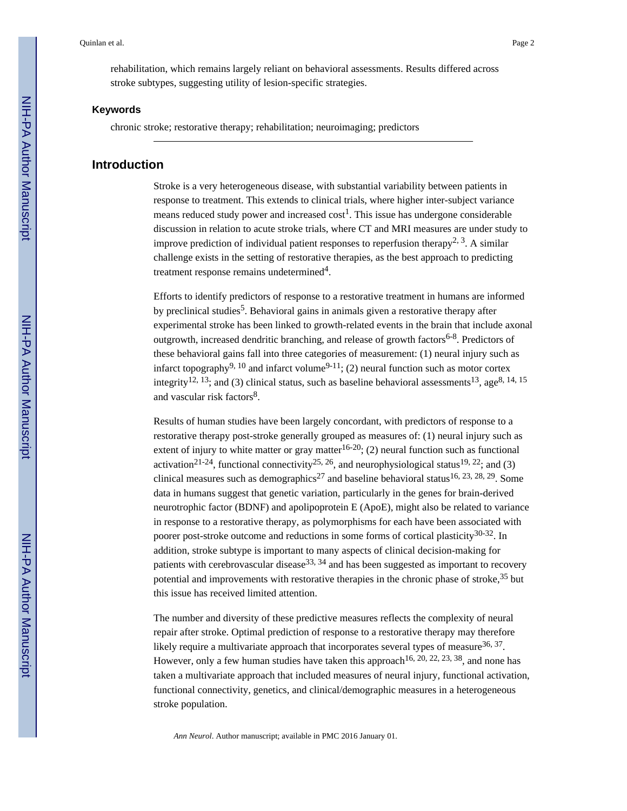rehabilitation, which remains largely reliant on behavioral assessments. Results differed across stroke subtypes, suggesting utility of lesion-specific strategies.

#### **Keywords**

chronic stroke; restorative therapy; rehabilitation; neuroimaging; predictors

# **Introduction**

Stroke is a very heterogeneous disease, with substantial variability between patients in response to treatment. This extends to clinical trials, where higher inter-subject variance means reduced study power and increased  $\text{cost}^1$ . This issue has undergone considerable discussion in relation to acute stroke trials, where CT and MRI measures are under study to improve prediction of individual patient responses to reperfusion therapy<sup>2, 3</sup>. A similar challenge exists in the setting of restorative therapies, as the best approach to predicting treatment response remains undetermined<sup>4</sup>.

Efforts to identify predictors of response to a restorative treatment in humans are informed by preclinical studies<sup>5</sup>. Behavioral gains in animals given a restorative therapy after experimental stroke has been linked to growth-related events in the brain that include axonal outgrowth, increased dendritic branching, and release of growth factors<sup>6-8</sup>. Predictors of these behavioral gains fall into three categories of measurement: (1) neural injury such as infarct topography<sup>9, 10</sup> and infarct volume<sup>9-11</sup>; (2) neural function such as motor cortex integrity<sup>12, 13</sup>; and (3) clinical status, such as baseline behavioral assessments<sup>13</sup>, age<sup>8, 14, 15</sup> and vascular risk factors<sup>8</sup>.

Results of human studies have been largely concordant, with predictors of response to a restorative therapy post-stroke generally grouped as measures of: (1) neural injury such as extent of injury to white matter or gray matter<sup>16-20</sup>; (2) neural function such as functional activation<sup>21-24</sup>, functional connectivity<sup>25, 26</sup>, and neurophysiological status<sup>19, 22</sup>; and (3) clinical measures such as demographics<sup>27</sup> and baseline behavioral status<sup>16, 23, 28, 29</sup>. Some data in humans suggest that genetic variation, particularly in the genes for brain-derived neurotrophic factor (BDNF) and apolipoprotein E (ApoE), might also be related to variance in response to a restorative therapy, as polymorphisms for each have been associated with poorer post-stroke outcome and reductions in some forms of cortical plasticity $30-32$ . In addition, stroke subtype is important to many aspects of clinical decision-making for patients with cerebrovascular disease<sup>33, 34</sup> and has been suggested as important to recovery potential and improvements with restorative therapies in the chronic phase of stroke,  $35$  but this issue has received limited attention.

The number and diversity of these predictive measures reflects the complexity of neural repair after stroke. Optimal prediction of response to a restorative therapy may therefore likely require a multivariate approach that incorporates several types of measure  $36, 37$ . However, only a few human studies have taken this approach<sup>16, 20, 22, 23, 38</sup>, and none has taken a multivariate approach that included measures of neural injury, functional activation, functional connectivity, genetics, and clinical/demographic measures in a heterogeneous stroke population.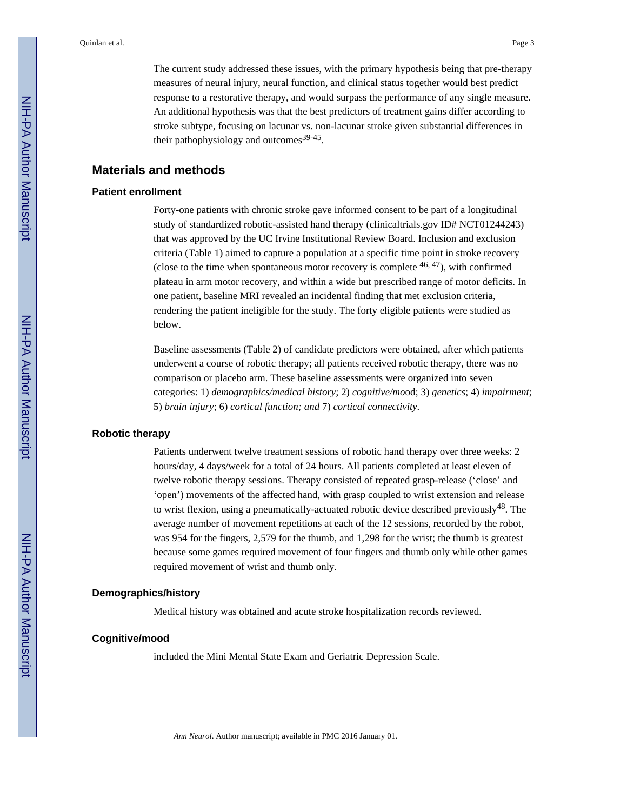The current study addressed these issues, with the primary hypothesis being that pre-therapy measures of neural injury, neural function, and clinical status together would best predict response to a restorative therapy, and would surpass the performance of any single measure. An additional hypothesis was that the best predictors of treatment gains differ according to stroke subtype, focusing on lacunar vs. non-lacunar stroke given substantial differences in their pathophysiology and outcomes<sup>39-45</sup>.

#### **Materials and methods**

#### **Patient enrollment**

Forty-one patients with chronic stroke gave informed consent to be part of a longitudinal study of standardized robotic-assisted hand therapy (clinicaltrials.gov ID# NCT01244243) that was approved by the UC Irvine Institutional Review Board. Inclusion and exclusion criteria (Table 1) aimed to capture a population at a specific time point in stroke recovery (close to the time when spontaneous motor recovery is complete  $46, 47$ ), with confirmed plateau in arm motor recovery, and within a wide but prescribed range of motor deficits. In one patient, baseline MRI revealed an incidental finding that met exclusion criteria, rendering the patient ineligible for the study. The forty eligible patients were studied as below.

Baseline assessments (Table 2) of candidate predictors were obtained, after which patients underwent a course of robotic therapy; all patients received robotic therapy, there was no comparison or placebo arm. These baseline assessments were organized into seven categories: 1) *demographics/medical history*; 2) *cognitive/mo*od; 3) *genetics*; 4) *impairment*; 5) *brain injury*; 6) *cortical function; and* 7) *cortical connectivity*.

# **Robotic therapy**

Patients underwent twelve treatment sessions of robotic hand therapy over three weeks: 2 hours/day, 4 days/week for a total of 24 hours. All patients completed at least eleven of twelve robotic therapy sessions. Therapy consisted of repeated grasp-release ('close' and 'open') movements of the affected hand, with grasp coupled to wrist extension and release to wrist flexion, using a pneumatically-actuated robotic device described previously<sup>48</sup>. The average number of movement repetitions at each of the 12 sessions, recorded by the robot, was 954 for the fingers, 2,579 for the thumb, and 1,298 for the wrist; the thumb is greatest because some games required movement of four fingers and thumb only while other games required movement of wrist and thumb only.

#### **Demographics/history**

Medical history was obtained and acute stroke hospitalization records reviewed.

#### **Cognitive/mood**

included the Mini Mental State Exam and Geriatric Depression Scale.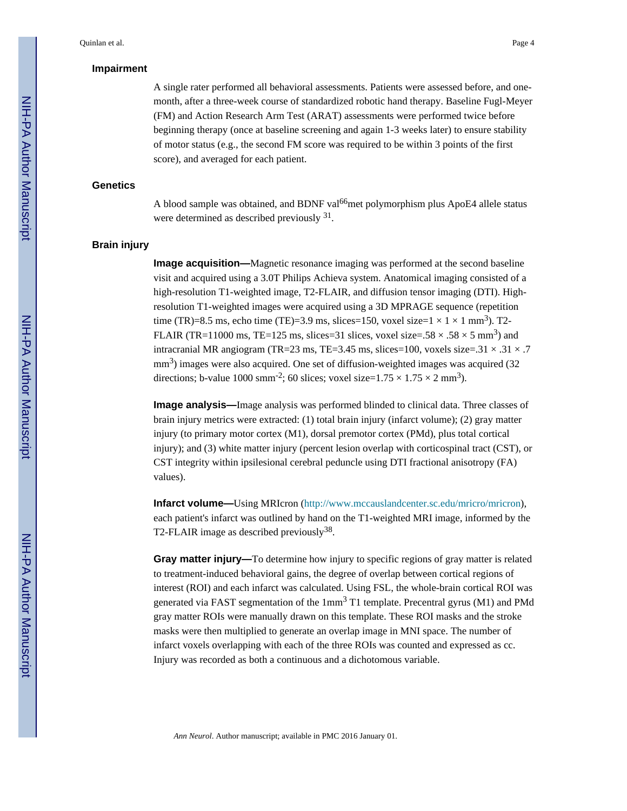#### **Impairment**

A single rater performed all behavioral assessments. Patients were assessed before, and onemonth, after a three-week course of standardized robotic hand therapy. Baseline Fugl-Meyer (FM) and Action Research Arm Test (ARAT) assessments were performed twice before beginning therapy (once at baseline screening and again 1-3 weeks later) to ensure stability of motor status (e.g., the second FM score was required to be within 3 points of the first score), and averaged for each patient.

#### **Genetics**

A blood sample was obtained, and BDNF val<sup>66</sup>met polymorphism plus ApoE4 allele status were determined as described previously  $31$ .

#### **Brain injury**

**Image acquisition—**Magnetic resonance imaging was performed at the second baseline visit and acquired using a 3.0T Philips Achieva system. Anatomical imaging consisted of a high-resolution T1-weighted image, T2-FLAIR, and diffusion tensor imaging (DTI). Highresolution T1-weighted images were acquired using a 3D MPRAGE sequence (repetition time (TR)=8.5 ms, echo time (TE)=3.9 ms, slices=150, voxel size= $1 \times 1 \times 1$  mm<sup>3</sup>). T2-FLAIR (TR=11000 ms, TE=125 ms, slices=31 slices, voxel size=.58  $\times$  .58  $\times$  5 mm<sup>3</sup>) and intracranial MR angiogram (TR=23 ms, TE=3.45 ms, slices=100, voxels size=.31  $\times$  .31  $\times$  .7 mm<sup>3</sup>) images were also acquired. One set of diffusion-weighted images was acquired (32 directions; b-value 1000 smm<sup>-2</sup>; 60 slices; voxel size= $1.75 \times 1.75 \times 2$  mm<sup>3</sup>).

**Image analysis—**Image analysis was performed blinded to clinical data. Three classes of brain injury metrics were extracted: (1) total brain injury (infarct volume); (2) gray matter injury (to primary motor cortex (M1), dorsal premotor cortex (PMd), plus total cortical injury); and (3) white matter injury (percent lesion overlap with corticospinal tract (CST), or CST integrity within ipsilesional cerebral peduncle using DTI fractional anisotropy (FA) values).

**Infarct volume—**Using MRIcron [\(http://www.mccauslandcenter.sc.edu/mricro/mricron\)](http://www.mccauslandcenter.sc.edu/mricro/mricron), each patient's infarct was outlined by hand on the T1-weighted MRI image, informed by the T2-FLAIR image as described previously $38$ .

**Gray matter injury—**To determine how injury to specific regions of gray matter is related to treatment-induced behavioral gains, the degree of overlap between cortical regions of interest (ROI) and each infarct was calculated. Using FSL, the whole-brain cortical ROI was generated via FAST segmentation of the 1mm<sup>3</sup> T1 template. Precentral gyrus (M1) and PMd gray matter ROIs were manually drawn on this template. These ROI masks and the stroke masks were then multiplied to generate an overlap image in MNI space. The number of infarct voxels overlapping with each of the three ROIs was counted and expressed as cc. Injury was recorded as both a continuous and a dichotomous variable.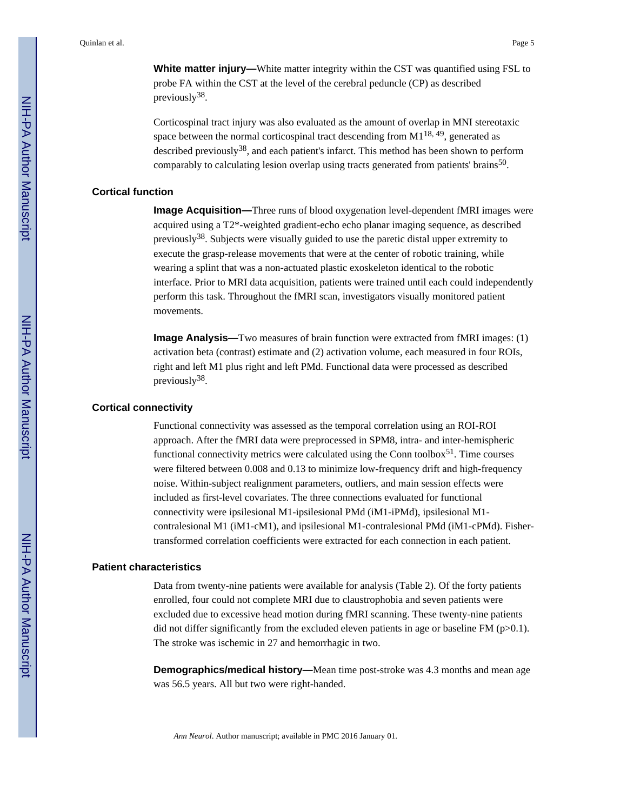**White matter injury—**White matter integrity within the CST was quantified using FSL to probe FA within the CST at the level of the cerebral peduncle (CP) as described previously<sup>38</sup>.

Corticospinal tract injury was also evaluated as the amount of overlap in MNI stereotaxic space between the normal corticospinal tract descending from  $M1^{18, 49}$ , generated as described previously<sup>38</sup>, and each patient's infarct. This method has been shown to perform comparably to calculating lesion overlap using tracts generated from patients' brains<sup>50</sup>.

#### **Cortical function**

**Image Acquisition—**Three runs of blood oxygenation level-dependent fMRI images were acquired using a T2\*-weighted gradient-echo echo planar imaging sequence, as described previously<sup>38</sup>. Subjects were visually guided to use the paretic distal upper extremity to execute the grasp-release movements that were at the center of robotic training, while wearing a splint that was a non-actuated plastic exoskeleton identical to the robotic interface. Prior to MRI data acquisition, patients were trained until each could independently perform this task. Throughout the fMRI scan, investigators visually monitored patient movements.

**Image Analysis—**Two measures of brain function were extracted from fMRI images: (1) activation beta (contrast) estimate and (2) activation volume, each measured in four ROIs, right and left M1 plus right and left PMd. Functional data were processed as described previously<sup>38</sup>.

#### **Cortical connectivity**

Functional connectivity was assessed as the temporal correlation using an ROI-ROI approach. After the fMRI data were preprocessed in SPM8, intra- and inter-hemispheric functional connectivity metrics were calculated using the Conn toolbox<sup>51</sup>. Time courses were filtered between 0.008 and 0.13 to minimize low-frequency drift and high-frequency noise. Within-subject realignment parameters, outliers, and main session effects were included as first-level covariates. The three connections evaluated for functional connectivity were ipsilesional M1-ipsilesional PMd (iM1-iPMd), ipsilesional M1 contralesional M1 (iM1-cM1), and ipsilesional M1-contralesional PMd (iM1-cPMd). Fishertransformed correlation coefficients were extracted for each connection in each patient.

#### **Patient characteristics**

Data from twenty-nine patients were available for analysis (Table 2). Of the forty patients enrolled, four could not complete MRI due to claustrophobia and seven patients were excluded due to excessive head motion during fMRI scanning. These twenty-nine patients did not differ significantly from the excluded eleven patients in age or baseline FM ( $p > 0.1$ ). The stroke was ischemic in 27 and hemorrhagic in two.

**Demographics/medical history—**Mean time post-stroke was 4.3 months and mean age was 56.5 years. All but two were right-handed.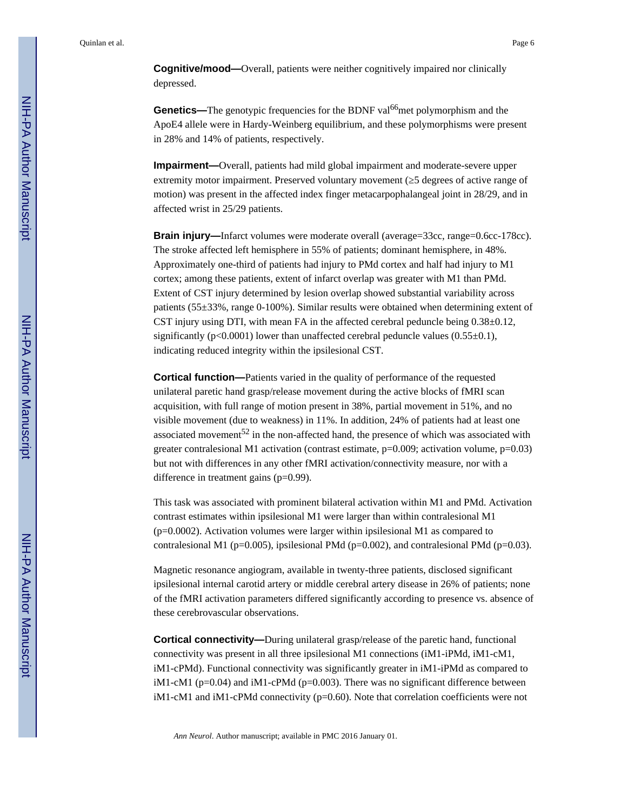**Cognitive/mood—**Overall, patients were neither cognitively impaired nor clinically depressed.

**Genetics—**The genotypic frequencies for the BDNF val<sup>66</sup>met polymorphism and the ApoE4 allele were in Hardy-Weinberg equilibrium, and these polymorphisms were present in 28% and 14% of patients, respectively.

**Impairment—**Overall, patients had mild global impairment and moderate-severe upper extremity motor impairment. Preserved voluntary movement (5 degrees of active range of motion) was present in the affected index finger metacarpophalangeal joint in 28/29, and in affected wrist in 25/29 patients.

**Brain injury—**Infarct volumes were moderate overall (average=33cc, range=0.6cc-178cc). The stroke affected left hemisphere in 55% of patients; dominant hemisphere, in 48%. Approximately one-third of patients had injury to PMd cortex and half had injury to M1 cortex; among these patients, extent of infarct overlap was greater with M1 than PMd. Extent of CST injury determined by lesion overlap showed substantial variability across patients (55±33%, range 0-100%). Similar results were obtained when determining extent of CST injury using DTI, with mean FA in the affected cerebral peduncle being  $0.38\pm0.12$ , significantly ( $p<0.0001$ ) lower than unaffected cerebral peduncle values ( $0.55\pm0.1$ ), indicating reduced integrity within the ipsilesional CST.

**Cortical function—**Patients varied in the quality of performance of the requested unilateral paretic hand grasp/release movement during the active blocks of fMRI scan acquisition, with full range of motion present in 38%, partial movement in 51%, and no visible movement (due to weakness) in 11%. In addition, 24% of patients had at least one associated movement<sup>52</sup> in the non-affected hand, the presence of which was associated with greater contralesional M1 activation (contrast estimate,  $p=0.009$ ; activation volume,  $p=0.03$ ) but not with differences in any other fMRI activation/connectivity measure, nor with a difference in treatment gains (p=0.99).

This task was associated with prominent bilateral activation within M1 and PMd. Activation contrast estimates within ipsilesional M1 were larger than within contralesional M1 (p=0.0002). Activation volumes were larger within ipsilesional M1 as compared to contralesional M1 ( $p=0.005$ ), ipsilesional PMd ( $p=0.002$ ), and contralesional PMd ( $p=0.03$ ).

Magnetic resonance angiogram, available in twenty-three patients, disclosed significant ipsilesional internal carotid artery or middle cerebral artery disease in 26% of patients; none of the fMRI activation parameters differed significantly according to presence vs. absence of these cerebrovascular observations.

**Cortical connectivity—**During unilateral grasp/release of the paretic hand, functional connectivity was present in all three ipsilesional M1 connections (iM1-iPMd, iM1-cM1, iM1-cPMd). Functional connectivity was significantly greater in iM1-iPMd as compared to iM1-cM1 ( $p=0.04$ ) and iM1-cPMd ( $p=0.003$ ). There was no significant difference between iM1-cM1 and iM1-cPMd connectivity  $(p=0.60)$ . Note that correlation coefficients were not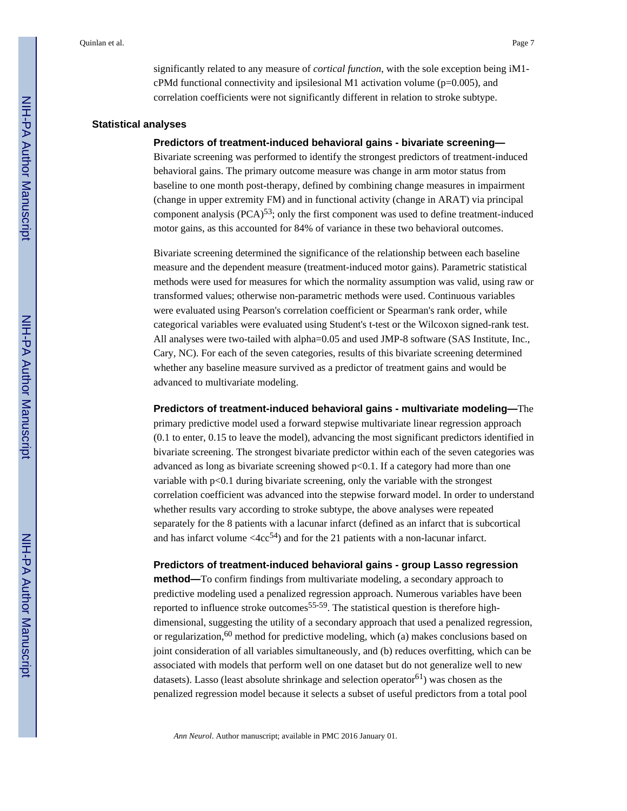significantly related to any measure of *cortical function*, with the sole exception being iM1 cPMd functional connectivity and ipsilesional M1 activation volume ( $p=0.005$ ), and correlation coefficients were not significantly different in relation to stroke subtype.

#### **Statistical analyses**

#### **Predictors of treatment-induced behavioral gains - bivariate screening—**

Bivariate screening was performed to identify the strongest predictors of treatment-induced behavioral gains. The primary outcome measure was change in arm motor status from baseline to one month post-therapy, defined by combining change measures in impairment (change in upper extremity FM) and in functional activity (change in ARAT) via principal component analysis  $(PCA)^{53}$ ; only the first component was used to define treatment-induced motor gains, as this accounted for 84% of variance in these two behavioral outcomes.

Bivariate screening determined the significance of the relationship between each baseline measure and the dependent measure (treatment-induced motor gains). Parametric statistical methods were used for measures for which the normality assumption was valid, using raw or transformed values; otherwise non-parametric methods were used. Continuous variables were evaluated using Pearson's correlation coefficient or Spearman's rank order, while categorical variables were evaluated using Student's t-test or the Wilcoxon signed-rank test. All analyses were two-tailed with alpha=0.05 and used JMP-8 software (SAS Institute, Inc., Cary, NC). For each of the seven categories, results of this bivariate screening determined whether any baseline measure survived as a predictor of treatment gains and would be advanced to multivariate modeling.

**Predictors of treatment-induced behavioral gains - multivariate modeling—**The primary predictive model used a forward stepwise multivariate linear regression approach (0.1 to enter, 0.15 to leave the model), advancing the most significant predictors identified in bivariate screening. The strongest bivariate predictor within each of the seven categories was advanced as long as bivariate screening showed p<0.1. If a category had more than one variable with  $p<0.1$  during bivariate screening, only the variable with the strongest correlation coefficient was advanced into the stepwise forward model. In order to understand whether results vary according to stroke subtype, the above analyses were repeated separately for the 8 patients with a lacunar infarct (defined as an infarct that is subcortical and has infarct volume  $\langle 4cc^{54} \rangle$  and for the 21 patients with a non-lacunar infarct.

#### **Predictors of treatment-induced behavioral gains - group Lasso regression**

**method—**To confirm findings from multivariate modeling, a secondary approach to predictive modeling used a penalized regression approach. Numerous variables have been reported to influence stroke outcomes<sup>55-59</sup>. The statistical question is therefore highdimensional, suggesting the utility of a secondary approach that used a penalized regression, or regularization,<sup>60</sup> method for predictive modeling, which (a) makes conclusions based on joint consideration of all variables simultaneously, and (b) reduces overfitting, which can be associated with models that perform well on one dataset but do not generalize well to new datasets). Lasso (least absolute shrinkage and selection operator<sup>61</sup>) was chosen as the penalized regression model because it selects a subset of useful predictors from a total pool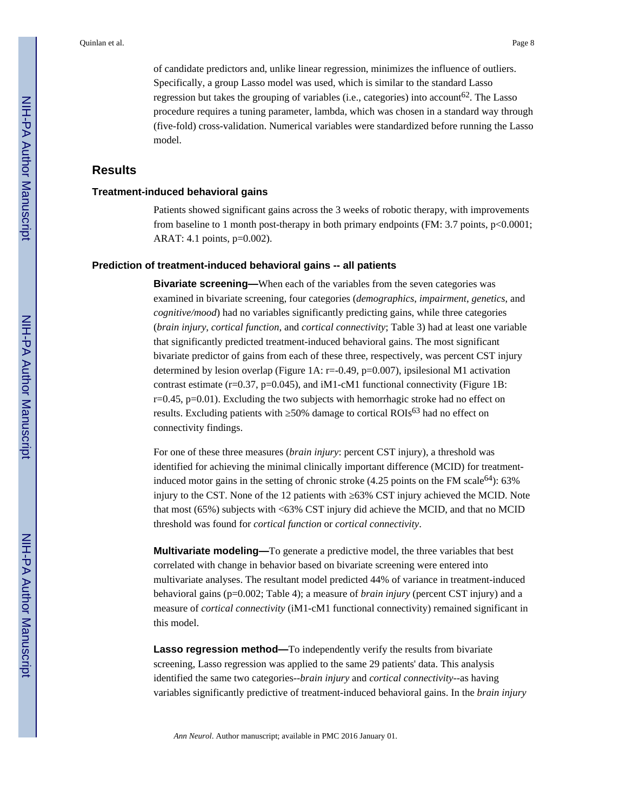of candidate predictors and, unlike linear regression, minimizes the influence of outliers. Specifically, a group Lasso model was used, which is similar to the standard Lasso regression but takes the grouping of variables (i.e., categories) into account<sup>62</sup>. The Lasso procedure requires a tuning parameter, lambda, which was chosen in a standard way through (five-fold) cross-validation. Numerical variables were standardized before running the Lasso model.

## **Results**

#### **Treatment-induced behavioral gains**

Patients showed significant gains across the 3 weeks of robotic therapy, with improvements from baseline to 1 month post-therapy in both primary endpoints (FM: 3.7 points, p<0.0001; ARAT: 4.1 points, p=0.002).

#### **Prediction of treatment-induced behavioral gains -- all patients**

**Bivariate screening—**When each of the variables from the seven categories was examined in bivariate screening, four categories (*demographics*, *impairment*, *genetics*, and *cognitive/mood*) had no variables significantly predicting gains, while three categories (*brain injury*, *cortical function*, and *cortical connectivity*; Table 3) had at least one variable that significantly predicted treatment-induced behavioral gains. The most significant bivariate predictor of gains from each of these three, respectively, was percent CST injury determined by lesion overlap (Figure 1A: r=-0.49, p=0.007), ipsilesional M1 activation contrast estimate ( $r=0.37$ ,  $p=0.045$ ), and iM1-cM1 functional connectivity (Figure 1B: r=0.45, p=0.01). Excluding the two subjects with hemorrhagic stroke had no effect on results. Excluding patients with  $50\%$  damage to cortical ROIs<sup>63</sup> had no effect on connectivity findings.

For one of these three measures (*brain injury*: percent CST injury), a threshold was identified for achieving the minimal clinically important difference (MCID) for treatmentinduced motor gains in the setting of chronic stroke  $(4.25 \text{ points on the FM scale}^{64})$ : 63% injury to the CST. None of the 12 patients with  $\,63\%$  CST injury achieved the MCID. Note that most (65%) subjects with <63% CST injury did achieve the MCID, and that no MCID threshold was found for *cortical function* or *cortical connectivity*.

**Multivariate modeling—**To generate a predictive model, the three variables that best correlated with change in behavior based on bivariate screening were entered into multivariate analyses. The resultant model predicted 44% of variance in treatment-induced behavioral gains (p=0.002; Table 4); a measure of *brain injury* (percent CST injury) and a measure of *cortical connectivity* (iM1-cM1 functional connectivity) remained significant in this model.

**Lasso regression method—**To independently verify the results from bivariate screening, Lasso regression was applied to the same 29 patients' data. This analysis identified the same two categories--*brain injury* and *cortical connectivity--*as having variables significantly predictive of treatment-induced behavioral gains. In the *brain injury*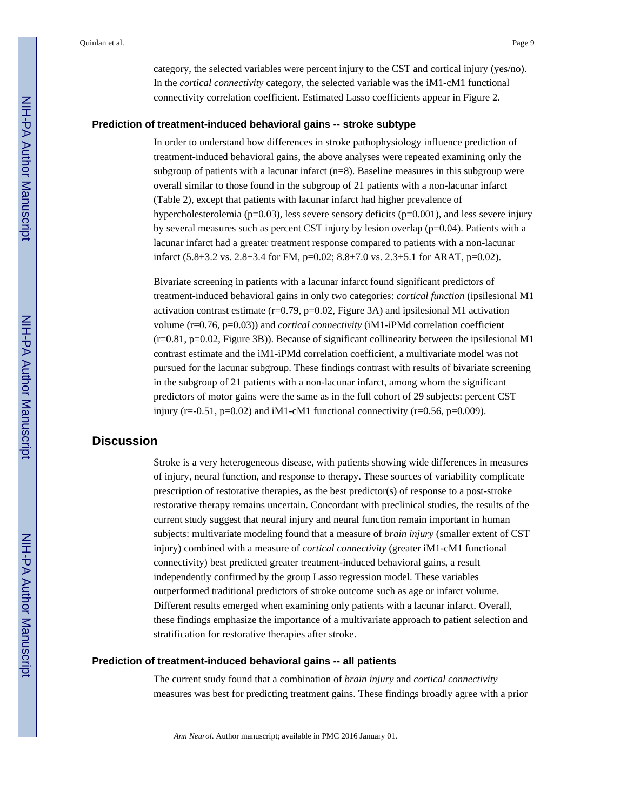category, the selected variables were percent injury to the CST and cortical injury (yes/no). In the *cortical connectivity* category, the selected variable was the iM1-cM1 functional connectivity correlation coefficient. Estimated Lasso coefficients appear in Figure 2.

#### **Prediction of treatment-induced behavioral gains -- stroke subtype**

In order to understand how differences in stroke pathophysiology influence prediction of treatment-induced behavioral gains, the above analyses were repeated examining only the subgroup of patients with a lacunar infarct  $(n=8)$ . Baseline measures in this subgroup were overall similar to those found in the subgroup of 21 patients with a non-lacunar infarct (Table 2), except that patients with lacunar infarct had higher prevalence of hypercholesterolemia ( $p=0.03$ ), less severe sensory deficits ( $p=0.001$ ), and less severe injury by several measures such as percent CST injury by lesion overlap (p=0.04). Patients with a lacunar infarct had a greater treatment response compared to patients with a non-lacunar infarct (5.8±3.2 vs. 2.8±3.4 for FM, p=0.02; 8.8±7.0 vs. 2.3±5.1 for ARAT, p=0.02).

Bivariate screening in patients with a lacunar infarct found significant predictors of treatment-induced behavioral gains in only two categories: *cortical function* (ipsilesional M1 activation contrast estimate (r=0.79, p=0.02, Figure 3A) and ipsilesional M1 activation volume (r=0.76, p=0.03)) and *cortical connectivity* (iM1-iPMd correlation coefficient  $(r=0.81, p=0.02,$  Figure 3B)). Because of significant collinearity between the ipsilesional M1 contrast estimate and the iM1-iPMd correlation coefficient, a multivariate model was not pursued for the lacunar subgroup. These findings contrast with results of bivariate screening in the subgroup of 21 patients with a non-lacunar infarct, among whom the significant predictors of motor gains were the same as in the full cohort of 29 subjects: percent CST injury (r=-0.51, p=0.02) and iM1-cM1 functional connectivity (r=0.56, p=0.009).

# **Discussion**

Stroke is a very heterogeneous disease, with patients showing wide differences in measures of injury, neural function, and response to therapy. These sources of variability complicate prescription of restorative therapies, as the best predictor(s) of response to a post-stroke restorative therapy remains uncertain. Concordant with preclinical studies, the results of the current study suggest that neural injury and neural function remain important in human subjects: multivariate modeling found that a measure of *brain injury* (smaller extent of CST injury) combined with a measure of *cortical connectivity* (greater iM1-cM1 functional connectivity) best predicted greater treatment-induced behavioral gains, a result independently confirmed by the group Lasso regression model. These variables outperformed traditional predictors of stroke outcome such as age or infarct volume. Different results emerged when examining only patients with a lacunar infarct. Overall, these findings emphasize the importance of a multivariate approach to patient selection and stratification for restorative therapies after stroke.

#### **Prediction of treatment-induced behavioral gains -- all patients**

The current study found that a combination of *brain injury* and *cortical connectivity*  measures was best for predicting treatment gains. These findings broadly agree with a prior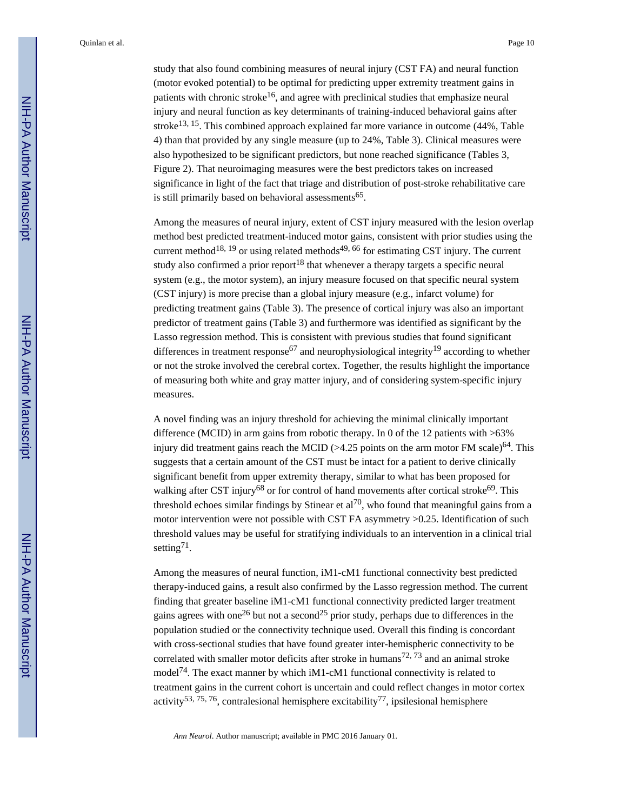study that also found combining measures of neural injury (CST FA) and neural function (motor evoked potential) to be optimal for predicting upper extremity treatment gains in patients with chronic stroke<sup>16</sup>, and agree with preclinical studies that emphasize neural injury and neural function as key determinants of training-induced behavioral gains after stroke<sup>13, 15</sup>. This combined approach explained far more variance in outcome  $(44\%$ , Table 4) than that provided by any single measure (up to 24%, Table 3). Clinical measures were also hypothesized to be significant predictors, but none reached significance (Tables 3, Figure 2). That neuroimaging measures were the best predictors takes on increased significance in light of the fact that triage and distribution of post-stroke rehabilitative care is still primarily based on behavioral assessments<sup>65</sup>.

Among the measures of neural injury, extent of CST injury measured with the lesion overlap method best predicted treatment-induced motor gains, consistent with prior studies using the current method<sup>18, 19</sup> or using related methods<sup>49, 66</sup> for estimating CST injury. The current study also confirmed a prior report<sup>18</sup> that whenever a therapy targets a specific neural system (e.g., the motor system), an injury measure focused on that specific neural system (CST injury) is more precise than a global injury measure (e.g., infarct volume) for predicting treatment gains (Table 3). The presence of cortical injury was also an important predictor of treatment gains (Table 3) and furthermore was identified as significant by the Lasso regression method. This is consistent with previous studies that found significant differences in treatment response<sup>67</sup> and neurophysiological integrity<sup>19</sup> according to whether or not the stroke involved the cerebral cortex. Together, the results highlight the importance of measuring both white and gray matter injury, and of considering system-specific injury measures.

A novel finding was an injury threshold for achieving the minimal clinically important difference (MCID) in arm gains from robotic therapy. In 0 of the 12 patients with >63% injury did treatment gains reach the MCID ( $>4.25$  points on the arm motor FM scale)<sup>64</sup>. This suggests that a certain amount of the CST must be intact for a patient to derive clinically significant benefit from upper extremity therapy, similar to what has been proposed for walking after CST injury<sup>68</sup> or for control of hand movements after cortical stroke<sup>69</sup>. This threshold echoes similar findings by Stinear et al<sup>70</sup>, who found that meaningful gains from a motor intervention were not possible with CST FA asymmetry >0.25. Identification of such threshold values may be useful for stratifying individuals to an intervention in a clinical trial setting<sup>71</sup>.

Among the measures of neural function, iM1-cM1 functional connectivity best predicted therapy-induced gains, a result also confirmed by the Lasso regression method. The current finding that greater baseline iM1-cM1 functional connectivity predicted larger treatment gains agrees with one<sup>26</sup> but not a second<sup>25</sup> prior study, perhaps due to differences in the population studied or the connectivity technique used. Overall this finding is concordant with cross-sectional studies that have found greater inter-hemispheric connectivity to be correlated with smaller motor deficits after stroke in humans<sup>72, 73</sup> and an animal stroke model<sup>74</sup>. The exact manner by which iM1-cM1 functional connectivity is related to treatment gains in the current cohort is uncertain and could reflect changes in motor cortex activity<sup>53, 75, 76</sup>, contralesional hemisphere excitability<sup>77</sup>, ipsilesional hemisphere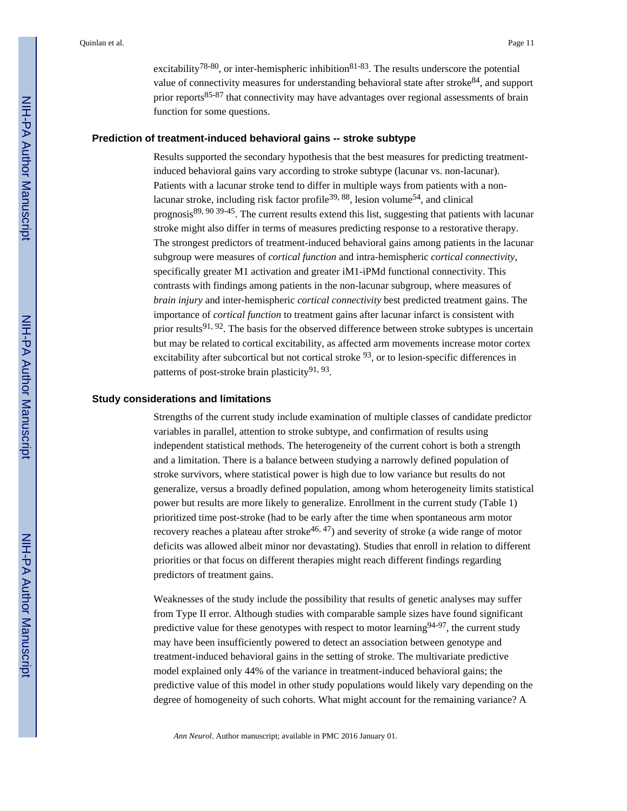excitability<sup>78-80</sup>, or inter-hemispheric inhibition<sup>81-83</sup>. The results underscore the potential value of connectivity measures for understanding behavioral state after stroke $84$ , and support prior reports85-87 that connectivity may have advantages over regional assessments of brain function for some questions.

# **Prediction of treatment-induced behavioral gains -- stroke subtype**

Results supported the secondary hypothesis that the best measures for predicting treatmentinduced behavioral gains vary according to stroke subtype (lacunar vs. non-lacunar). Patients with a lacunar stroke tend to differ in multiple ways from patients with a nonlacunar stroke, including risk factor profile<sup>39, 88</sup>, lesion volume<sup>54</sup>, and clinical prognosis89, 90 39-45. The current results extend this list, suggesting that patients with lacunar stroke might also differ in terms of measures predicting response to a restorative therapy. The strongest predictors of treatment-induced behavioral gains among patients in the lacunar subgroup were measures of *cortical function* and intra-hemispheric *cortical connectivity*, specifically greater M1 activation and greater iM1-iPMd functional connectivity. This contrasts with findings among patients in the non-lacunar subgroup, where measures of *brain injury* and inter-hemispheric *cortical connectivity* best predicted treatment gains. The importance of *cortical function* to treatment gains after lacunar infarct is consistent with prior results<sup>91, 92</sup>. The basis for the observed difference between stroke subtypes is uncertain but may be related to cortical excitability, as affected arm movements increase motor cortex excitability after subcortical but not cortical stroke <sup>93</sup>, or to lesion-specific differences in patterns of post-stroke brain plasticity<sup>91, 93</sup>.

#### **Study considerations and limitations**

Strengths of the current study include examination of multiple classes of candidate predictor variables in parallel, attention to stroke subtype, and confirmation of results using independent statistical methods. The heterogeneity of the current cohort is both a strength and a limitation. There is a balance between studying a narrowly defined population of stroke survivors, where statistical power is high due to low variance but results do not generalize, versus a broadly defined population, among whom heterogeneity limits statistical power but results are more likely to generalize. Enrollment in the current study (Table 1) prioritized time post-stroke (had to be early after the time when spontaneous arm motor recovery reaches a plateau after stroke<sup>46, 47</sup>) and severity of stroke (a wide range of motor deficits was allowed albeit minor nor devastating). Studies that enroll in relation to different priorities or that focus on different therapies might reach different findings regarding predictors of treatment gains.

Weaknesses of the study include the possibility that results of genetic analyses may suffer from Type II error. Although studies with comparable sample sizes have found significant predictive value for these genotypes with respect to motor learning  $94-97$ , the current study may have been insufficiently powered to detect an association between genotype and treatment-induced behavioral gains in the setting of stroke. The multivariate predictive model explained only 44% of the variance in treatment-induced behavioral gains; the predictive value of this model in other study populations would likely vary depending on the degree of homogeneity of such cohorts. What might account for the remaining variance? A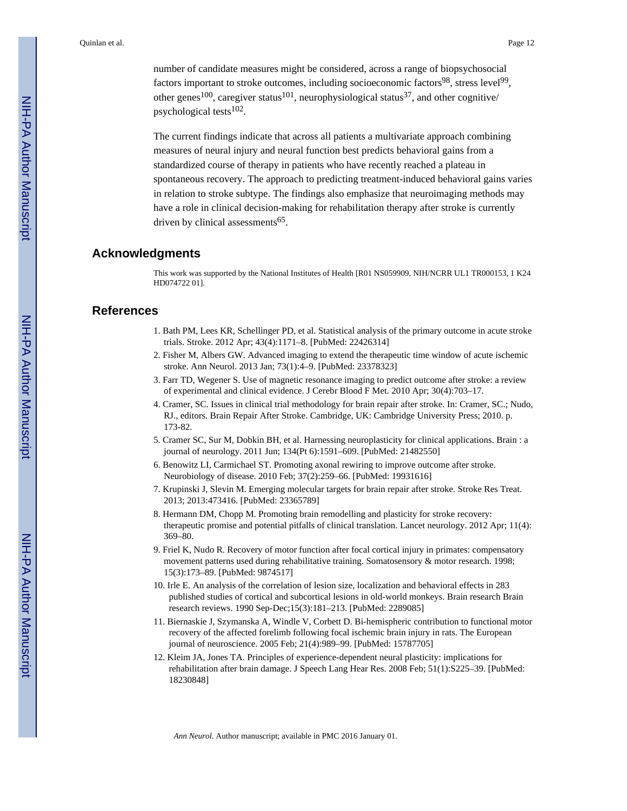number of candidate measures might be considered, across a range of biopsychosocial factors important to stroke outcomes, including socioeconomic factors<sup>98</sup>, stress level<sup>99</sup>, other genes<sup>100</sup>, caregiver status<sup>101</sup>, neurophysiological status<sup>37</sup>, and other cognitive/ psychological tests<sup>102</sup>.

The current findings indicate that across all patients a multivariate approach combining measures of neural injury and neural function best predicts behavioral gains from a standardized course of therapy in patients who have recently reached a plateau in spontaneous recovery. The approach to predicting treatment-induced behavioral gains varies in relation to stroke subtype. The findings also emphasize that neuroimaging methods may have a role in clinical decision-making for rehabilitation therapy after stroke is currently driven by clinical assessments<sup>65</sup>.

# **Acknowledgments**

This work was supported by the National Institutes of Health [R01 NS059909, NIH/NCRR UL1 TR000153, 1 K24 HD074722 01].

# **References**

- 1. Bath PM, Lees KR, Schellinger PD, et al. Statistical analysis of the primary outcome in acute stroke trials. Stroke. 2012 Apr; 43(4):1171–8. [PubMed: 22426314]
- 2. Fisher M, Albers GW. Advanced imaging to extend the therapeutic time window of acute ischemic stroke. Ann Neurol. 2013 Jan; 73(1):4–9. [PubMed: 23378323]
- 3. Farr TD, Wegener S. Use of magnetic resonance imaging to predict outcome after stroke: a review of experimental and clinical evidence. J Cerebr Blood F Met. 2010 Apr; 30(4):703–17.
- 4. Cramer, SC. Issues in clinical trial methodology for brain repair after stroke. In: Cramer, SC.; Nudo, RJ., editors. Brain Repair After Stroke. Cambridge, UK: Cambridge University Press; 2010. p. 173-82.
- 5. Cramer SC, Sur M, Dobkin BH, et al. Harnessing neuroplasticity for clinical applications. Brain : a journal of neurology. 2011 Jun; 134(Pt 6):1591–609. [PubMed: 21482550]
- 6. Benowitz LI, Carmichael ST. Promoting axonal rewiring to improve outcome after stroke. Neurobiology of disease. 2010 Feb; 37(2):259–66. [PubMed: 19931616]
- 7. Krupinski J, Slevin M. Emerging molecular targets for brain repair after stroke. Stroke Res Treat. 2013; 2013:473416. [PubMed: 23365789]
- 8. Hermann DM, Chopp M. Promoting brain remodelling and plasticity for stroke recovery: therapeutic promise and potential pitfalls of clinical translation. Lancet neurology. 2012 Apr; 11(4): 369–80.
- 9. Friel K, Nudo R. Recovery of motor function after focal cortical injury in primates: compensatory movement patterns used during rehabilitative training. Somatosensory & motor research. 1998; 15(3):173–89. [PubMed: 9874517]
- 10. Irle E. An analysis of the correlation of lesion size, localization and behavioral effects in 283 published studies of cortical and subcortical lesions in old-world monkeys. Brain research Brain research reviews. 1990 Sep-Dec;15(3):181–213. [PubMed: 2289085]
- 11. Biernaskie J, Szymanska A, Windle V, Corbett D. Bi-hemispheric contribution to functional motor recovery of the affected forelimb following focal ischemic brain injury in rats. The European journal of neuroscience. 2005 Feb; 21(4):989–99. [PubMed: 15787705]
- 12. Kleim JA, Jones TA. Principles of experience-dependent neural plasticity: implications for rehabilitation after brain damage. J Speech Lang Hear Res. 2008 Feb; 51(1):S225–39. [PubMed: 18230848]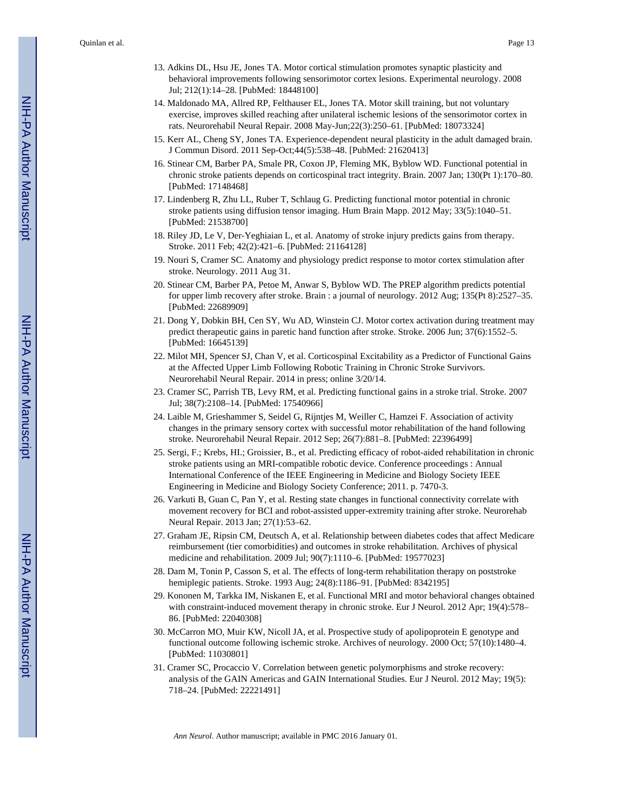- 13. Adkins DL, Hsu JE, Jones TA. Motor cortical stimulation promotes synaptic plasticity and behavioral improvements following sensorimotor cortex lesions. Experimental neurology. 2008 Jul; 212(1):14–28. [PubMed: 18448100]
- 14. Maldonado MA, Allred RP, Felthauser EL, Jones TA. Motor skill training, but not voluntary exercise, improves skilled reaching after unilateral ischemic lesions of the sensorimotor cortex in rats. Neurorehabil Neural Repair. 2008 May-Jun;22(3):250–61. [PubMed: 18073324]
- 15. Kerr AL, Cheng SY, Jones TA. Experience-dependent neural plasticity in the adult damaged brain. J Commun Disord. 2011 Sep-Oct;44(5):538–48. [PubMed: 21620413]
- 16. Stinear CM, Barber PA, Smale PR, Coxon JP, Fleming MK, Byblow WD. Functional potential in chronic stroke patients depends on corticospinal tract integrity. Brain. 2007 Jan; 130(Pt 1):170–80. [PubMed: 17148468]
- 17. Lindenberg R, Zhu LL, Ruber T, Schlaug G. Predicting functional motor potential in chronic stroke patients using diffusion tensor imaging. Hum Brain Mapp. 2012 May; 33(5):1040–51. [PubMed: 21538700]
- 18. Riley JD, Le V, Der-Yeghiaian L, et al. Anatomy of stroke injury predicts gains from therapy. Stroke. 2011 Feb; 42(2):421–6. [PubMed: 21164128]
- 19. Nouri S, Cramer SC. Anatomy and physiology predict response to motor cortex stimulation after stroke. Neurology. 2011 Aug 31.
- 20. Stinear CM, Barber PA, Petoe M, Anwar S, Byblow WD. The PREP algorithm predicts potential for upper limb recovery after stroke. Brain : a journal of neurology. 2012 Aug; 135(Pt 8):2527–35. [PubMed: 22689909]
- 21. Dong Y, Dobkin BH, Cen SY, Wu AD, Winstein CJ. Motor cortex activation during treatment may predict therapeutic gains in paretic hand function after stroke. Stroke. 2006 Jun; 37(6):1552–5. [PubMed: 16645139]
- 22. Milot MH, Spencer SJ, Chan V, et al. Corticospinal Excitability as a Predictor of Functional Gains at the Affected Upper Limb Following Robotic Training in Chronic Stroke Survivors. Neurorehabil Neural Repair. 2014 in press; online 3/20/14.
- 23. Cramer SC, Parrish TB, Levy RM, et al. Predicting functional gains in a stroke trial. Stroke. 2007 Jul; 38(7):2108–14. [PubMed: 17540966]
- 24. Laible M, Grieshammer S, Seidel G, Rijntjes M, Weiller C, Hamzei F. Association of activity changes in the primary sensory cortex with successful motor rehabilitation of the hand following stroke. Neurorehabil Neural Repair. 2012 Sep; 26(7):881–8. [PubMed: 22396499]
- 25. Sergi, F.; Krebs, HI.; Groissier, B., et al. Predicting efficacy of robot-aided rehabilitation in chronic stroke patients using an MRI-compatible robotic device. Conference proceedings : Annual International Conference of the IEEE Engineering in Medicine and Biology Society IEEE Engineering in Medicine and Biology Society Conference; 2011. p. 7470-3.
- 26. Varkuti B, Guan C, Pan Y, et al. Resting state changes in functional connectivity correlate with movement recovery for BCI and robot-assisted upper-extremity training after stroke. Neurorehab Neural Repair. 2013 Jan; 27(1):53–62.
- 27. Graham JE, Ripsin CM, Deutsch A, et al. Relationship between diabetes codes that affect Medicare reimbursement (tier comorbidities) and outcomes in stroke rehabilitation. Archives of physical medicine and rehabilitation. 2009 Jul; 90(7):1110–6. [PubMed: 19577023]
- 28. Dam M, Tonin P, Casson S, et al. The effects of long-term rehabilitation therapy on poststroke hemiplegic patients. Stroke. 1993 Aug; 24(8):1186–91. [PubMed: 8342195]
- 29. Kononen M, Tarkka IM, Niskanen E, et al. Functional MRI and motor behavioral changes obtained with constraint-induced movement therapy in chronic stroke. Eur J Neurol. 2012 Apr; 19(4):578– 86. [PubMed: 22040308]
- 30. McCarron MO, Muir KW, Nicoll JA, et al. Prospective study of apolipoprotein E genotype and functional outcome following ischemic stroke. Archives of neurology. 2000 Oct; 57(10):1480–4. [PubMed: 11030801]
- 31. Cramer SC, Procaccio V. Correlation between genetic polymorphisms and stroke recovery: analysis of the GAIN Americas and GAIN International Studies. Eur J Neurol. 2012 May; 19(5): 718–24. [PubMed: 22221491]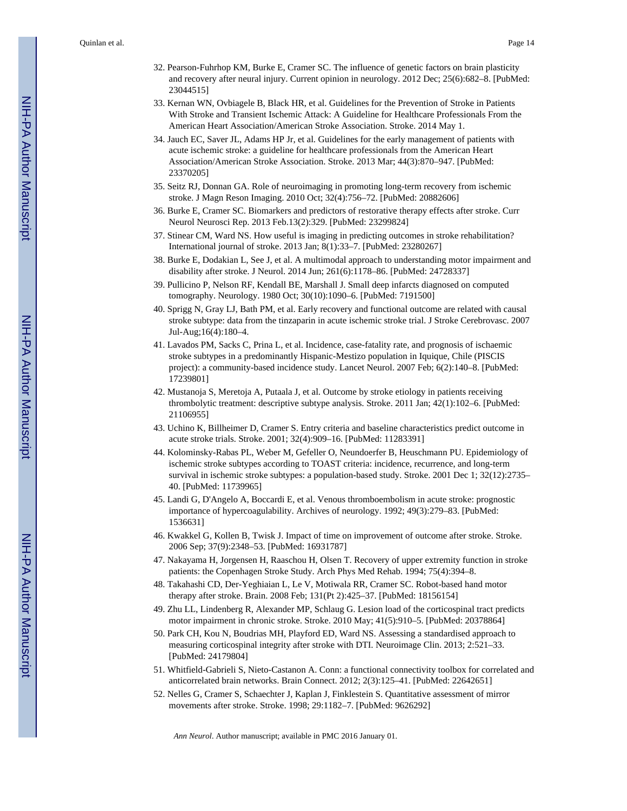- 32. Pearson-Fuhrhop KM, Burke E, Cramer SC. The influence of genetic factors on brain plasticity and recovery after neural injury. Current opinion in neurology. 2012 Dec; 25(6):682–8. [PubMed: 23044515]
- 33. Kernan WN, Ovbiagele B, Black HR, et al. Guidelines for the Prevention of Stroke in Patients With Stroke and Transient Ischemic Attack: A Guideline for Healthcare Professionals From the American Heart Association/American Stroke Association. Stroke. 2014 May 1.
- 34. Jauch EC, Saver JL, Adams HP Jr, et al. Guidelines for the early management of patients with acute ischemic stroke: a guideline for healthcare professionals from the American Heart Association/American Stroke Association. Stroke. 2013 Mar; 44(3):870–947. [PubMed: 23370205]
- 35. Seitz RJ, Donnan GA. Role of neuroimaging in promoting long-term recovery from ischemic stroke. J Magn Reson Imaging. 2010 Oct; 32(4):756–72. [PubMed: 20882606]
- 36. Burke E, Cramer SC. Biomarkers and predictors of restorative therapy effects after stroke. Curr Neurol Neurosci Rep. 2013 Feb.13(2):329. [PubMed: 23299824]
- 37. Stinear CM, Ward NS. How useful is imaging in predicting outcomes in stroke rehabilitation? International journal of stroke. 2013 Jan; 8(1):33–7. [PubMed: 23280267]
- 38. Burke E, Dodakian L, See J, et al. A multimodal approach to understanding motor impairment and disability after stroke. J Neurol. 2014 Jun; 261(6):1178–86. [PubMed: 24728337]
- 39. Pullicino P, Nelson RF, Kendall BE, Marshall J. Small deep infarcts diagnosed on computed tomography. Neurology. 1980 Oct; 30(10):1090–6. [PubMed: 7191500]
- 40. Sprigg N, Gray LJ, Bath PM, et al. Early recovery and functional outcome are related with causal stroke subtype: data from the tinzaparin in acute ischemic stroke trial. J Stroke Cerebrovasc. 2007 Jul-Aug;16(4):180–4.
- 41. Lavados PM, Sacks C, Prina L, et al. Incidence, case-fatality rate, and prognosis of ischaemic stroke subtypes in a predominantly Hispanic-Mestizo population in Iquique, Chile (PISCIS project): a community-based incidence study. Lancet Neurol. 2007 Feb; 6(2):140–8. [PubMed: 17239801]
- 42. Mustanoja S, Meretoja A, Putaala J, et al. Outcome by stroke etiology in patients receiving thrombolytic treatment: descriptive subtype analysis. Stroke. 2011 Jan; 42(1):102–6. [PubMed: 21106955]
- 43. Uchino K, Billheimer D, Cramer S. Entry criteria and baseline characteristics predict outcome in acute stroke trials. Stroke. 2001; 32(4):909–16. [PubMed: 11283391]
- 44. Kolominsky-Rabas PL, Weber M, Gefeller O, Neundoerfer B, Heuschmann PU. Epidemiology of ischemic stroke subtypes according to TOAST criteria: incidence, recurrence, and long-term survival in ischemic stroke subtypes: a population-based study. Stroke. 2001 Dec 1; 32(12):2735– 40. [PubMed: 11739965]
- 45. Landi G, D'Angelo A, Boccardi E, et al. Venous thromboembolism in acute stroke: prognostic importance of hypercoagulability. Archives of neurology. 1992; 49(3):279–83. [PubMed: 1536631]
- 46. Kwakkel G, Kollen B, Twisk J. Impact of time on improvement of outcome after stroke. Stroke. 2006 Sep; 37(9):2348–53. [PubMed: 16931787]
- 47. Nakayama H, Jorgensen H, Raaschou H, Olsen T. Recovery of upper extremity function in stroke patients: the Copenhagen Stroke Study. Arch Phys Med Rehab. 1994; 75(4):394–8.
- 48. Takahashi CD, Der-Yeghiaian L, Le V, Motiwala RR, Cramer SC. Robot-based hand motor therapy after stroke. Brain. 2008 Feb; 131(Pt 2):425–37. [PubMed: 18156154]
- 49. Zhu LL, Lindenberg R, Alexander MP, Schlaug G. Lesion load of the corticospinal tract predicts motor impairment in chronic stroke. Stroke. 2010 May; 41(5):910–5. [PubMed: 20378864]
- 50. Park CH, Kou N, Boudrias MH, Playford ED, Ward NS. Assessing a standardised approach to measuring corticospinal integrity after stroke with DTI. Neuroimage Clin. 2013; 2:521–33. [PubMed: 24179804]
- 51. Whitfield-Gabrieli S, Nieto-Castanon A. Conn: a functional connectivity toolbox for correlated and anticorrelated brain networks. Brain Connect. 2012; 2(3):125–41. [PubMed: 22642651]
- 52. Nelles G, Cramer S, Schaechter J, Kaplan J, Finklestein S. Quantitative assessment of mirror movements after stroke. Stroke. 1998; 29:1182–7. [PubMed: 9626292]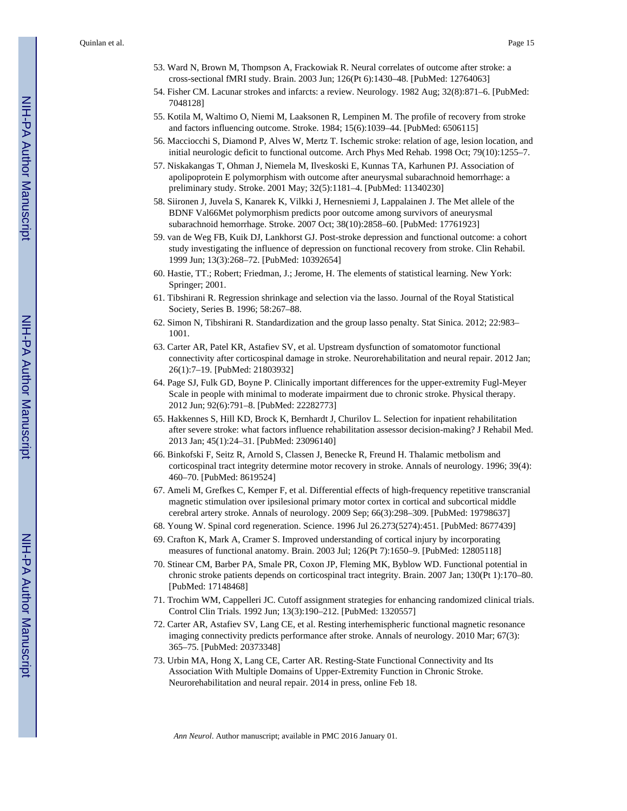- 53. Ward N, Brown M, Thompson A, Frackowiak R. Neural correlates of outcome after stroke: a cross-sectional fMRI study. Brain. 2003 Jun; 126(Pt 6):1430–48. [PubMed: 12764063]
- 54. Fisher CM. Lacunar strokes and infarcts: a review. Neurology. 1982 Aug; 32(8):871–6. [PubMed: 7048128]
- 55. Kotila M, Waltimo O, Niemi M, Laaksonen R, Lempinen M. The profile of recovery from stroke and factors influencing outcome. Stroke. 1984; 15(6):1039–44. [PubMed: 6506115]
- 56. Macciocchi S, Diamond P, Alves W, Mertz T. Ischemic stroke: relation of age, lesion location, and initial neurologic deficit to functional outcome. Arch Phys Med Rehab. 1998 Oct; 79(10):1255–7.
- 57. Niskakangas T, Ohman J, Niemela M, Ilveskoski E, Kunnas TA, Karhunen PJ. Association of apolipoprotein E polymorphism with outcome after aneurysmal subarachnoid hemorrhage: a preliminary study. Stroke. 2001 May; 32(5):1181–4. [PubMed: 11340230]
- 58. Siironen J, Juvela S, Kanarek K, Vilkki J, Hernesniemi J, Lappalainen J. The Met allele of the BDNF Val66Met polymorphism predicts poor outcome among survivors of aneurysmal subarachnoid hemorrhage. Stroke. 2007 Oct; 38(10):2858–60. [PubMed: 17761923]
- 59. van de Weg FB, Kuik DJ, Lankhorst GJ. Post-stroke depression and functional outcome: a cohort study investigating the influence of depression on functional recovery from stroke. Clin Rehabil. 1999 Jun; 13(3):268–72. [PubMed: 10392654]
- 60. Hastie, TT.; Robert; Friedman, J.; Jerome, H. The elements of statistical learning. New York: Springer; 2001.
- 61. Tibshirani R. Regression shrinkage and selection via the lasso. Journal of the Royal Statistical Society, Series B. 1996; 58:267–88.
- 62. Simon N, Tibshirani R. Standardization and the group lasso penalty. Stat Sinica. 2012; 22:983– 1001.
- 63. Carter AR, Patel KR, Astafiev SV, et al. Upstream dysfunction of somatomotor functional connectivity after corticospinal damage in stroke. Neurorehabilitation and neural repair. 2012 Jan; 26(1):7–19. [PubMed: 21803932]
- 64. Page SJ, Fulk GD, Boyne P. Clinically important differences for the upper-extremity Fugl-Meyer Scale in people with minimal to moderate impairment due to chronic stroke. Physical therapy. 2012 Jun; 92(6):791–8. [PubMed: 22282773]
- 65. Hakkennes S, Hill KD, Brock K, Bernhardt J, Churilov L. Selection for inpatient rehabilitation after severe stroke: what factors influence rehabilitation assessor decision-making? J Rehabil Med. 2013 Jan; 45(1):24–31. [PubMed: 23096140]
- 66. Binkofski F, Seitz R, Arnold S, Classen J, Benecke R, Freund H. Thalamic metbolism and corticospinal tract integrity determine motor recovery in stroke. Annals of neurology. 1996; 39(4): 460–70. [PubMed: 8619524]
- 67. Ameli M, Grefkes C, Kemper F, et al. Differential effects of high-frequency repetitive transcranial magnetic stimulation over ipsilesional primary motor cortex in cortical and subcortical middle cerebral artery stroke. Annals of neurology. 2009 Sep; 66(3):298–309. [PubMed: 19798637]
- 68. Young W. Spinal cord regeneration. Science. 1996 Jul 26.273(5274):451. [PubMed: 8677439]
- 69. Crafton K, Mark A, Cramer S. Improved understanding of cortical injury by incorporating measures of functional anatomy. Brain. 2003 Jul; 126(Pt 7):1650–9. [PubMed: 12805118]
- 70. Stinear CM, Barber PA, Smale PR, Coxon JP, Fleming MK, Byblow WD. Functional potential in chronic stroke patients depends on corticospinal tract integrity. Brain. 2007 Jan; 130(Pt 1):170–80. [PubMed: 17148468]
- 71. Trochim WM, Cappelleri JC. Cutoff assignment strategies for enhancing randomized clinical trials. Control Clin Trials. 1992 Jun; 13(3):190–212. [PubMed: 1320557]
- 72. Carter AR, Astafiev SV, Lang CE, et al. Resting interhemispheric functional magnetic resonance imaging connectivity predicts performance after stroke. Annals of neurology. 2010 Mar; 67(3): 365–75. [PubMed: 20373348]
- 73. Urbin MA, Hong X, Lang CE, Carter AR. Resting-State Functional Connectivity and Its Association With Multiple Domains of Upper-Extremity Function in Chronic Stroke. Neurorehabilitation and neural repair. 2014 in press, online Feb 18.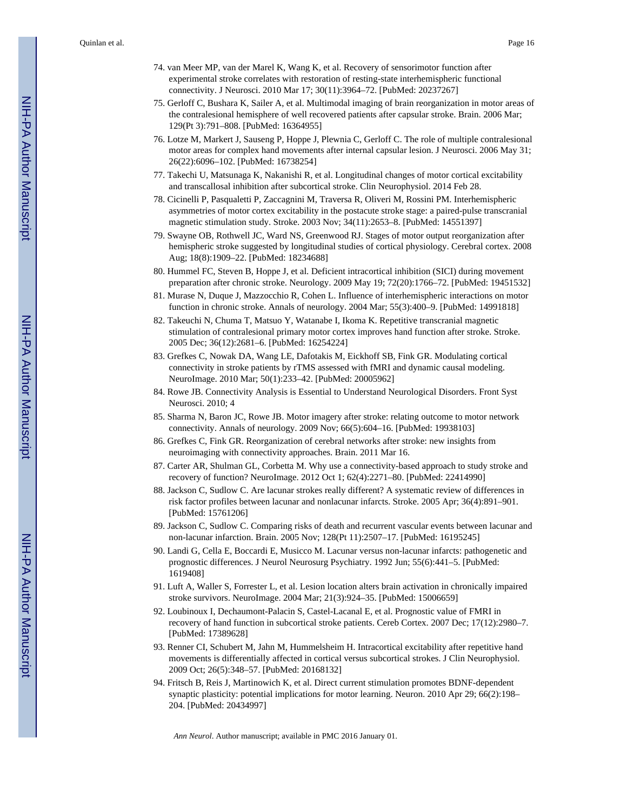- 74. van Meer MP, van der Marel K, Wang K, et al. Recovery of sensorimotor function after experimental stroke correlates with restoration of resting-state interhemispheric functional connectivity. J Neurosci. 2010 Mar 17; 30(11):3964–72. [PubMed: 20237267]
- 75. Gerloff C, Bushara K, Sailer A, et al. Multimodal imaging of brain reorganization in motor areas of the contralesional hemisphere of well recovered patients after capsular stroke. Brain. 2006 Mar; 129(Pt 3):791–808. [PubMed: 16364955]
- 76. Lotze M, Markert J, Sauseng P, Hoppe J, Plewnia C, Gerloff C. The role of multiple contralesional motor areas for complex hand movements after internal capsular lesion. J Neurosci. 2006 May 31; 26(22):6096–102. [PubMed: 16738254]
- 77. Takechi U, Matsunaga K, Nakanishi R, et al. Longitudinal changes of motor cortical excitability and transcallosal inhibition after subcortical stroke. Clin Neurophysiol. 2014 Feb 28.
- 78. Cicinelli P, Pasqualetti P, Zaccagnini M, Traversa R, Oliveri M, Rossini PM. Interhemispheric asymmetries of motor cortex excitability in the postacute stroke stage: a paired-pulse transcranial magnetic stimulation study. Stroke. 2003 Nov; 34(11):2653–8. [PubMed: 14551397]
- 79. Swayne OB, Rothwell JC, Ward NS, Greenwood RJ. Stages of motor output reorganization after hemispheric stroke suggested by longitudinal studies of cortical physiology. Cerebral cortex. 2008 Aug; 18(8):1909–22. [PubMed: 18234688]
- 80. Hummel FC, Steven B, Hoppe J, et al. Deficient intracortical inhibition (SICI) during movement preparation after chronic stroke. Neurology. 2009 May 19; 72(20):1766–72. [PubMed: 19451532]
- 81. Murase N, Duque J, Mazzocchio R, Cohen L. Influence of interhemispheric interactions on motor function in chronic stroke. Annals of neurology. 2004 Mar; 55(3):400–9. [PubMed: 14991818]
- 82. Takeuchi N, Chuma T, Matsuo Y, Watanabe I, Ikoma K. Repetitive transcranial magnetic stimulation of contralesional primary motor cortex improves hand function after stroke. Stroke. 2005 Dec; 36(12):2681–6. [PubMed: 16254224]
- 83. Grefkes C, Nowak DA, Wang LE, Dafotakis M, Eickhoff SB, Fink GR. Modulating cortical connectivity in stroke patients by rTMS assessed with fMRI and dynamic causal modeling. NeuroImage. 2010 Mar; 50(1):233–42. [PubMed: 20005962]
- 84. Rowe JB. Connectivity Analysis is Essential to Understand Neurological Disorders. Front Syst Neurosci. 2010; 4
- 85. Sharma N, Baron JC, Rowe JB. Motor imagery after stroke: relating outcome to motor network connectivity. Annals of neurology. 2009 Nov; 66(5):604–16. [PubMed: 19938103]
- 86. Grefkes C, Fink GR. Reorganization of cerebral networks after stroke: new insights from neuroimaging with connectivity approaches. Brain. 2011 Mar 16.
- 87. Carter AR, Shulman GL, Corbetta M. Why use a connectivity-based approach to study stroke and recovery of function? NeuroImage. 2012 Oct 1; 62(4):2271–80. [PubMed: 22414990]
- 88. Jackson C, Sudlow C. Are lacunar strokes really different? A systematic review of differences in risk factor profiles between lacunar and nonlacunar infarcts. Stroke. 2005 Apr; 36(4):891–901. [PubMed: 15761206]
- 89. Jackson C, Sudlow C. Comparing risks of death and recurrent vascular events between lacunar and non-lacunar infarction. Brain. 2005 Nov; 128(Pt 11):2507–17. [PubMed: 16195245]
- 90. Landi G, Cella E, Boccardi E, Musicco M. Lacunar versus non-lacunar infarcts: pathogenetic and prognostic differences. J Neurol Neurosurg Psychiatry. 1992 Jun; 55(6):441–5. [PubMed: 1619408]
- 91. Luft A, Waller S, Forrester L, et al. Lesion location alters brain activation in chronically impaired stroke survivors. NeuroImage. 2004 Mar; 21(3):924–35. [PubMed: 15006659]
- 92. Loubinoux I, Dechaumont-Palacin S, Castel-Lacanal E, et al. Prognostic value of FMRI in recovery of hand function in subcortical stroke patients. Cereb Cortex. 2007 Dec; 17(12):2980–7. [PubMed: 17389628]
- 93. Renner CI, Schubert M, Jahn M, Hummelsheim H. Intracortical excitability after repetitive hand movements is differentially affected in cortical versus subcortical strokes. J Clin Neurophysiol. 2009 Oct; 26(5):348–57. [PubMed: 20168132]
- 94. Fritsch B, Reis J, Martinowich K, et al. Direct current stimulation promotes BDNF-dependent synaptic plasticity: potential implications for motor learning. Neuron. 2010 Apr 29; 66(2):198– 204. [PubMed: 20434997]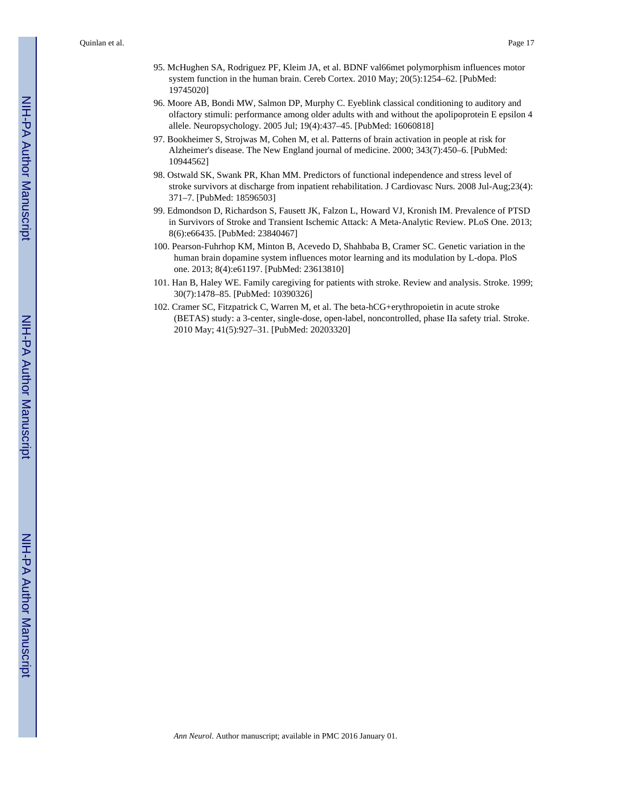- 95. McHughen SA, Rodriguez PF, Kleim JA, et al. BDNF val66met polymorphism influences motor system function in the human brain. Cereb Cortex. 2010 May; 20(5):1254–62. [PubMed: 19745020]
- 96. Moore AB, Bondi MW, Salmon DP, Murphy C. Eyeblink classical conditioning to auditory and olfactory stimuli: performance among older adults with and without the apolipoprotein E epsilon 4 allele. Neuropsychology. 2005 Jul; 19(4):437–45. [PubMed: 16060818]
- 97. Bookheimer S, Strojwas M, Cohen M, et al. Patterns of brain activation in people at risk for Alzheimer's disease. The New England journal of medicine. 2000; 343(7):450–6. [PubMed: 10944562]
- 98. Ostwald SK, Swank PR, Khan MM. Predictors of functional independence and stress level of stroke survivors at discharge from inpatient rehabilitation. J Cardiovasc Nurs. 2008 Jul-Aug;23(4): 371–7. [PubMed: 18596503]
- 99. Edmondson D, Richardson S, Fausett JK, Falzon L, Howard VJ, Kronish IM. Prevalence of PTSD in Survivors of Stroke and Transient Ischemic Attack: A Meta-Analytic Review. PLoS One. 2013; 8(6):e66435. [PubMed: 23840467]
- 100. Pearson-Fuhrhop KM, Minton B, Acevedo D, Shahbaba B, Cramer SC. Genetic variation in the human brain dopamine system influences motor learning and its modulation by L-dopa. PloS one. 2013; 8(4):e61197. [PubMed: 23613810]
- 101. Han B, Haley WE. Family caregiving for patients with stroke. Review and analysis. Stroke. 1999; 30(7):1478–85. [PubMed: 10390326]
- 102. Cramer SC, Fitzpatrick C, Warren M, et al. The beta-hCG+erythropoietin in acute stroke (BETAS) study: a 3-center, single-dose, open-label, noncontrolled, phase IIa safety trial. Stroke. 2010 May; 41(5):927–31. [PubMed: 20203320]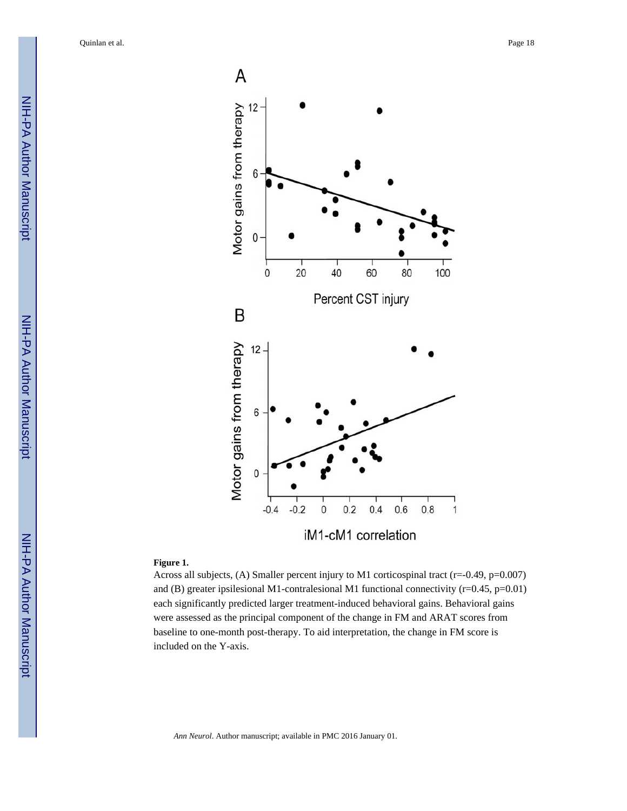

#### **Figure 1.**

Across all subjects, (A) Smaller percent injury to M1 corticospinal tract (r=-0.49, p=0.007) and (B) greater ipsilesional M1-contralesional M1 functional connectivity  $(r=0.45, p=0.01)$ each significantly predicted larger treatment-induced behavioral gains. Behavioral gains were assessed as the principal component of the change in FM and ARAT scores from baseline to one-month post-therapy. To aid interpretation, the change in FM score is included on the Y-axis.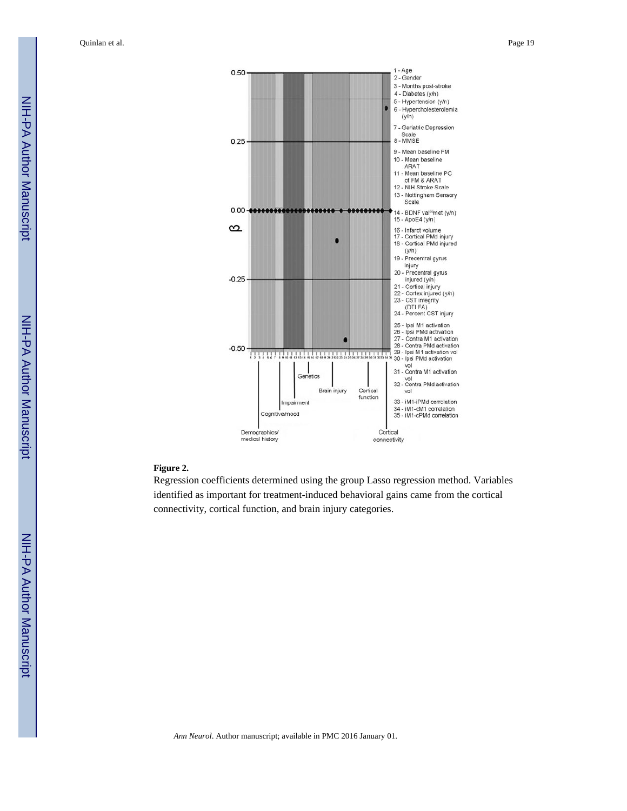

#### **Figure 2.**

Regression coefficients determined using the group Lasso regression method. Variables identified as important for treatment-induced behavioral gains came from the cortical connectivity, cortical function, and brain injury categories.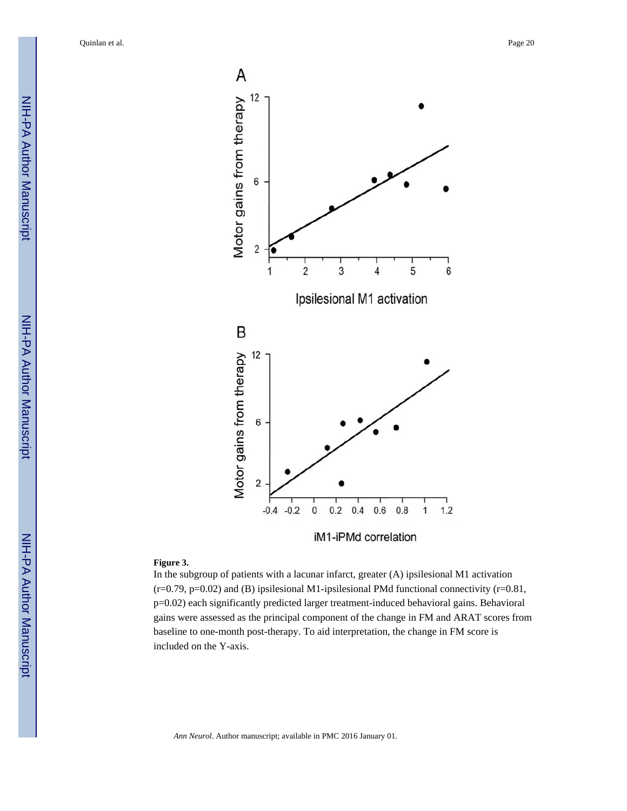



iM1-iPMd correlation

#### **Figure 3.**

In the subgroup of patients with a lacunar infarct, greater (A) ipsilesional M1 activation  $(r=0.79, p=0.02)$  and (B) ipsilesional M1-ipsilesional PMd functional connectivity (r=0.81, p=0.02) each significantly predicted larger treatment-induced behavioral gains. Behavioral gains were assessed as the principal component of the change in FM and ARAT scores from baseline to one-month post-therapy. To aid interpretation, the change in FM score is included on the Y-axis.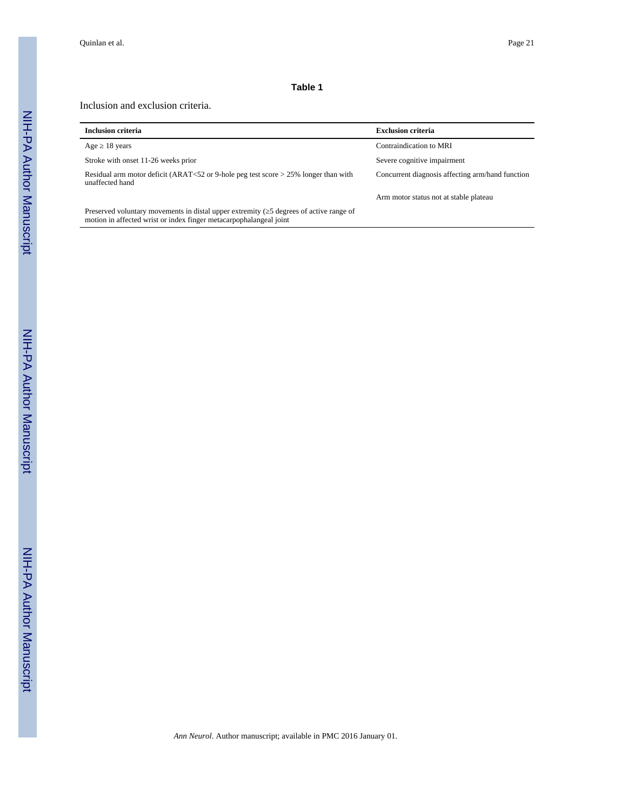#### **Table 1**

#### Inclusion and exclusion criteria.

| <b>Inclusion criteria</b>                                                                                                                                   | <b>Exclusion criteria</b>                        |
|-------------------------------------------------------------------------------------------------------------------------------------------------------------|--------------------------------------------------|
| Age 18 years                                                                                                                                                | Contraindication to MRI                          |
| Stroke with onset 11-26 weeks prior                                                                                                                         | Severe cognitive impairment                      |
| Residual arm motor deficit (ARAT<52 or 9-hole peg test score $>$ 25% longer than with<br>unaffected hand                                                    | Concurrent diagnosis affecting arm/hand function |
|                                                                                                                                                             | Arm motor status not at stable plateau           |
| Preserved voluntary movements in distal upper extremity (5 degrees of active range of<br>motion in affected wrist or index finger metacarpophalangeal joint |                                                  |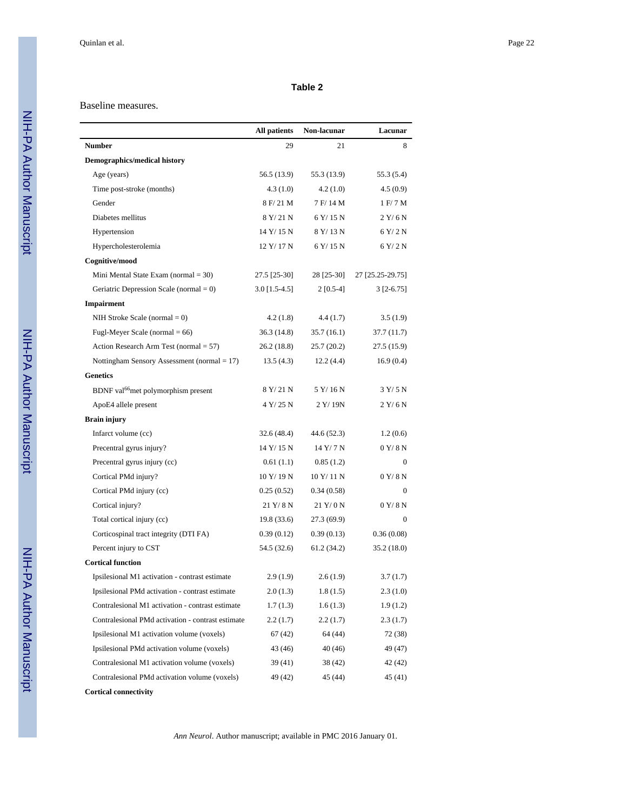#### **Table 2**

#### Baseline measures.

|                                                   | <b>All patients</b> | Non-lacunar | Lacunar          |
|---------------------------------------------------|---------------------|-------------|------------------|
| <b>Number</b>                                     | 29                  | 21          | 8                |
| <b>Demographics/medical history</b>               |                     |             |                  |
| Age (years)                                       | 56.5 (13.9)         | 55.3 (13.9) | 55.3 (5.4)       |
| Time post-stroke (months)                         | 4.3(1.0)            | 4.2(1.0)    | 4.5(0.9)         |
| Gender                                            | 8 F/21 M            | 7 F/14 M    | 1 F/ 7 M         |
| Diabetes mellitus                                 | 8 Y/21 N            | 6 Y/15 N    | $2$ Y/6 N        |
| Hypertension                                      | 14 Y/15 N           | 8 Y/13 N    | $6$ Y/2 N        |
| Hypercholesterolemia                              | 12 Y/17 N           | 6 Y/15 N    | 6 Y/2 N          |
| Cognitive/mood                                    |                     |             |                  |
| Mini Mental State Exam (normal $=$ 30)            | 27.5 [25-30]        | 28 [25-30]  | 27 [25.25-29.75] |
| Geriatric Depression Scale (normal $= 0$ )        | $3.0$ [1.5-4.5]     | $2[0.5-4]$  | $3$ [2-6.75]     |
| <b>Impairment</b>                                 |                     |             |                  |
| NIH Stroke Scale (normal $= 0$ )                  | 4.2(1.8)            | 4.4(1.7)    | 3.5(1.9)         |
| Fugl-Meyer Scale (normal $= 66$ )                 | 36.3 (14.8)         | 35.7(16.1)  | 37.7 (11.7)      |
| Action Research Arm Test (normal $= 57$ )         | 26.2 (18.8)         | 25.7(20.2)  | 27.5 (15.9)      |
| Nottingham Sensory Assessment (normal $= 17$ )    | 13.5(4.3)           | 12.2(4.4)   | 16.9(0.4)        |
| <b>Genetics</b>                                   |                     |             |                  |
| BDNF val <sup>66</sup> met polymorphism present   | 8 Y/21 N            | 5 Y/16 N    | 3 Y/5 N          |
| ApoE4 allele present                              | 4 Y/25 N            | 2 Y/19N     | 2 Y/6 N          |
| <b>Brain injury</b>                               |                     |             |                  |
| Infarct volume (cc)                               | 32.6 (48.4)         | 44.6 (52.3) | 1.2(0.6)         |
| Precentral gyrus injury?                          | 14 Y/15 N           | 14 Y/ 7 N   | 0 Y/8 N          |
| Precentral gyrus injury (cc)                      | 0.61(1.1)           | 0.85(1.2)   | $\mathbf{0}$     |
| Cortical PMd injury?                              | 10 Y/19 N           | 10 Y/11 N   | 0 Y/8 N          |
| Cortical PMd injury (cc)                          | 0.25(0.52)          | 0.34(0.58)  | $\mathbf{0}$     |
| Cortical injury?                                  | 21 Y/8 N            | 21 Y/0 N    | 0 Y/8 N          |
| Total cortical injury (cc)                        | 19.8(33.6)          | 27.3 (69.9) | $\Omega$         |
| Corticospinal tract integrity (DTI FA)            | 0.39(0.12)          | 0.39(0.13)  | 0.36(0.08)       |
| Percent injury to CST                             | 54.5 (32.6)         | 61.2 (34.2) | 35.2 (18.0)      |
| <b>Cortical function</b>                          |                     |             |                  |
| Ipsilesional M1 activation - contrast estimate    | 2.9(1.9)            | 2.6(1.9)    | 3.7 (1.7)        |
| Ipsilesional PMd activation - contrast estimate   | 2.0(1.3)            | 1.8(1.5)    | 2.3(1.0)         |
| Contralesional M1 activation - contrast estimate  | 1.7(1.3)            | 1.6(1.3)    | 1.9(1.2)         |
| Contralesional PMd activation - contrast estimate | 2.2(1.7)            | 2.2(1.7)    | 2.3(1.7)         |
| Ipsilesional M1 activation volume (voxels)        | 67 (42)             | 64 (44)     | 72 (38)          |
| Ipsilesional PMd activation volume (voxels)       | 43 (46)             | 40 (46)     | 49 (47)          |
| Contralesional M1 activation volume (voxels)      | 39(41)              | 38 (42)     | 42 (42)          |
| Contralesional PMd activation volume (voxels)     | 49 (42)             | 45 (44)     | 45 (41)          |
| <b>Cortical connectivity</b>                      |                     |             |                  |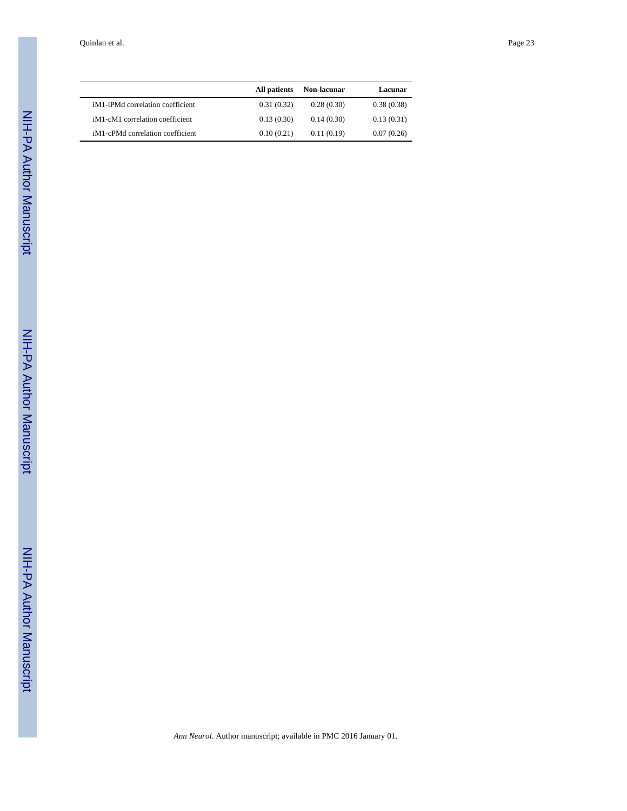|                                                           | All patients | Non-lacunar | Lacunar    |
|-----------------------------------------------------------|--------------|-------------|------------|
| iM <sub>1</sub> -iPM <sub>d</sub> correlation coefficient | 0.31(0.32)   | 0.28(0.30)  | 0.38(0.38) |
| iM1-cM1 correlation coefficient                           | 0.13(0.30)   | 0.14(0.30)  | 0.13(0.31) |
| iM <sub>1</sub> -cPM <sub>d</sub> correlation coefficient | 0.10(0.21)   | 0.11(0.19)  | 0.07(0.26) |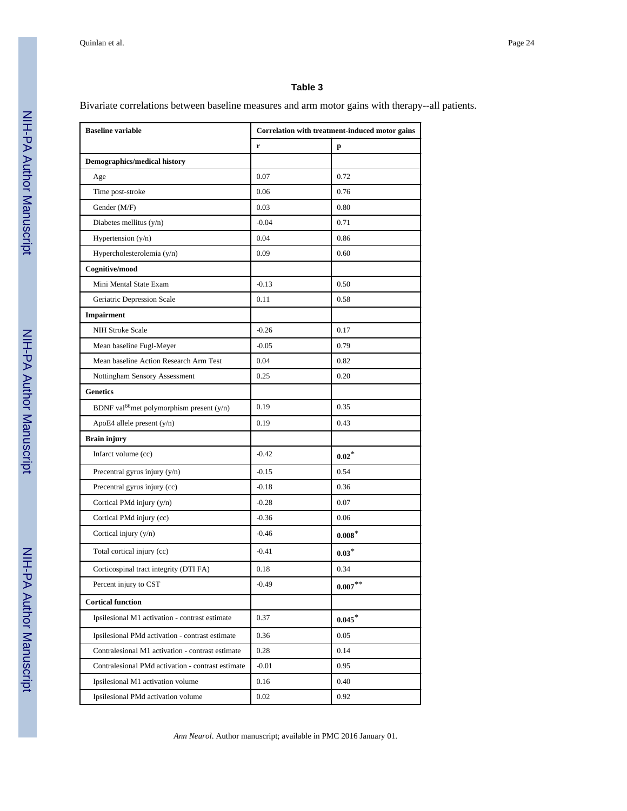#### **Table 3**

Bivariate correlations between baseline measures and arm motor gains with therapy--all patients.

| <b>Baseline variable</b>                              | Correlation with treatment-induced motor gains |            |
|-------------------------------------------------------|------------------------------------------------|------------|
|                                                       | $\mathbf r$<br>p                               |            |
| <b>Demographics/medical history</b>                   |                                                |            |
| Age                                                   | 0.07                                           | 0.72       |
| Time post-stroke                                      | 0.06                                           | 0.76       |
| Gender (M/F)                                          | 0.03                                           | 0.80       |
| Diabetes mellitus $(y/n)$                             | $-0.04$                                        | 0.71       |
| Hypertension $(y/n)$                                  | 0.04                                           | 0.86       |
| Hypercholesterolemia (y/n)                            | 0.09                                           | 0.60       |
| Cognitive/mood                                        |                                                |            |
| Mini Mental State Exam                                | $-0.13$                                        | 0.50       |
| Geriatric Depression Scale                            | 0.11                                           | 0.58       |
| Impairment                                            |                                                |            |
| <b>NIH Stroke Scale</b>                               | $-0.26$                                        | 0.17       |
| Mean baseline Fugl-Meyer                              | $-0.05$                                        | 0.79       |
| Mean baseline Action Research Arm Test                | 0.04                                           | 0.82       |
| Nottingham Sensory Assessment                         | 0.25                                           | 0.20       |
| <b>Genetics</b>                                       |                                                |            |
| BDNF val <sup>66</sup> met polymorphism present (y/n) | 0.19                                           | 0.35       |
| ApoE4 allele present (y/n)                            | 0.19                                           | 0.43       |
| <b>Brain injury</b>                                   |                                                |            |
| Infarct volume (cc)                                   | $-0.42$                                        | $0.02*$    |
| Precentral gyrus injury (y/n)                         | $-0.15$                                        | 0.54       |
| Precentral gyrus injury (cc)                          | $-0.18$                                        | 0.36       |
| Cortical PMd injury (y/n)                             | $-0.28$                                        | 0.07       |
| Cortical PMd injury (cc)                              | $-0.36$                                        | 0.06       |
| Cortical injury (y/n)                                 | $-0.46$                                        | $0.008*$   |
| Total cortical injury (cc)                            | $-0.41$                                        | $0.03*$    |
| Corticospinal tract integrity (DTI FA)                | 0.18                                           | 0.34       |
| Percent injury to CST                                 | $-0.49$                                        | $0.007***$ |
| <b>Cortical function</b>                              |                                                |            |
| Ipsilesional M1 activation - contrast estimate        | 0.37                                           | $0.045*$   |
| Ipsilesional PMd activation - contrast estimate       | 0.36                                           | 0.05       |
| Contralesional M1 activation - contrast estimate      | 0.28                                           | 0.14       |
| Contralesional PMd activation - contrast estimate     | $-0.01$                                        | 0.95       |
| Ipsilesional M1 activation volume                     | 0.16                                           | 0.40       |
| Ipsilesional PMd activation volume                    | 0.02                                           | 0.92       |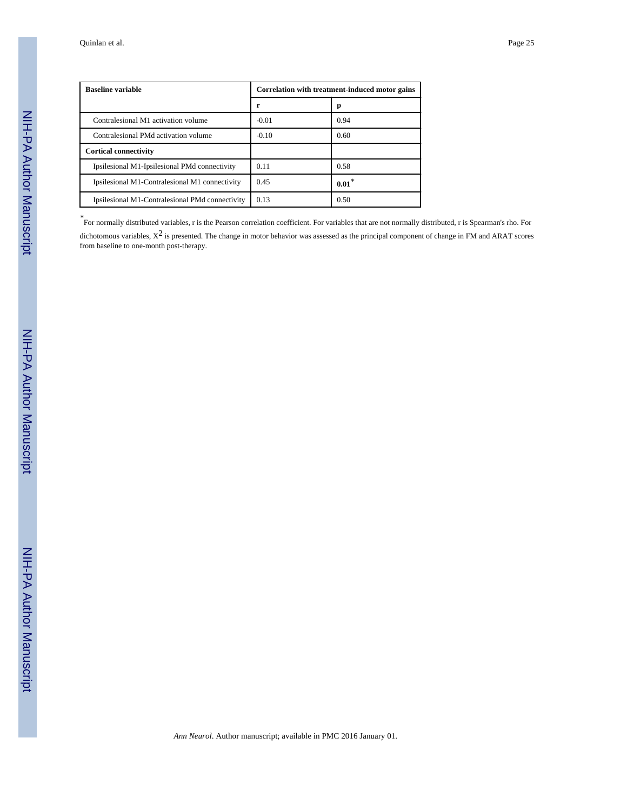| <b>Baseline variable</b>                        | Correlation with treatment-induced motor gains |         |
|-------------------------------------------------|------------------------------------------------|---------|
|                                                 | r                                              | р       |
| Contralesional M1 activation volume             | $-0.01$                                        | 0.94    |
| Contralesional PMd activation volume            | $-0.10$                                        | 0.60    |
| <b>Cortical connectivity</b>                    |                                                |         |
| Ipsilesional M1-Ipsilesional PMd connectivity   | 0.11                                           | 0.58    |
| Ipsilesional M1-Contralesional M1 connectivity  | 0.45                                           | $0.01*$ |
| Ipsilesional M1-Contralesional PMd connectivity | 0.13                                           | 0.50    |

*\** For normally distributed variables, r is the Pearson correlation coefficient. For variables that are not normally distributed, r is Spearman's rho. For dichotomous variables,  $X^2$  is presented. The change in motor behavior was assessed as the principal component of change in FM and ARAT scores from baseline to one-month post-therapy.